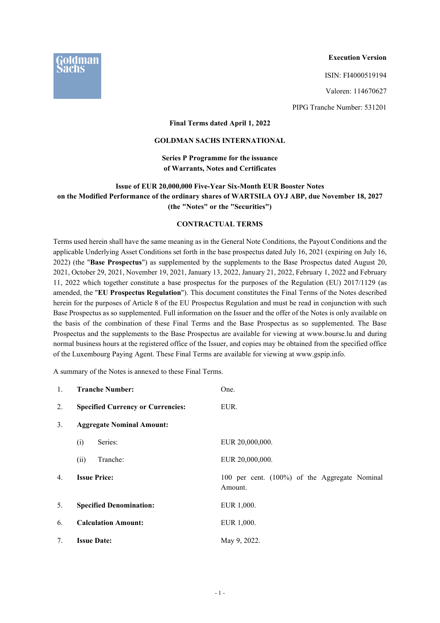

### **Execution Version**

ISIN: FI4000519194

Valoren: 114670627

PIPG Tranche Number: 531201

## **Final Terms dated April 1, 2022**

## **GOLDMAN SACHS INTERNATIONAL**

## **Series P Programme for the issuance of Warrants, Notes and Certificates**

# **Issue of EUR 20,000,000 Five-Year Six-Month EUR Booster Notes on the Modified Performance of the ordinary shares of WARTSILA OYJ ABP, due November 18, 2027 (the "Notes" or the "Securities")**

## **CONTRACTUAL TERMS**

Terms used herein shall have the same meaning as in the General Note Conditions, the Payout Conditions and the applicable Underlying Asset Conditions set forth in the base prospectus dated July 16, 2021 (expiring on July 16, 2022) (the "**Base Prospectus**") as supplemented by the supplements to the Base Prospectus dated August 20, 2021, October 29, 2021, November 19, 2021, January 13, 2022, January 21, 2022, February 1, 2022 and February 11, 2022 which together constitute a base prospectus for the purposes of the Regulation (EU) 2017/1129 (as amended, the "**EU Prospectus Regulation**"). This document constitutes the Final Terms of the Notes described herein for the purposes of Article 8 of the EU Prospectus Regulation and must be read in conjunction with such Base Prospectus as so supplemented. Full information on the Issuer and the offer of the Notes is only available on the basis of the combination of these Final Terms and the Base Prospectus as so supplemented. The Base Prospectus and the supplements to the Base Prospectus are available for viewing at www.bourse.lu and during normal business hours at the registered office of the Issuer, and copies may be obtained from the specified office of the Luxembourg Paying Agent. These Final Terms are available for viewing at www.gspip.info.

A summary of the Notes is annexed to these Final Terms.

| $\mathbf{1}$ . | <b>Tranche Number:</b>                   | One.                                                     |  |  |
|----------------|------------------------------------------|----------------------------------------------------------|--|--|
| 2.             | <b>Specified Currency or Currencies:</b> | EUR.                                                     |  |  |
| 3.             | <b>Aggregate Nominal Amount:</b>         |                                                          |  |  |
|                | (i)<br>Series:                           | EUR 20,000,000.                                          |  |  |
|                | (ii)<br>Tranche:                         | EUR 20,000,000.                                          |  |  |
| 4.             | <b>Issue Price:</b>                      | 100 per cent. (100%) of the Aggregate Nominal<br>Amount. |  |  |
| 5.             | <b>Specified Denomination:</b>           | EUR 1,000.                                               |  |  |
| 6.             | <b>Calculation Amount:</b>               | EUR 1,000.                                               |  |  |
| 7.             | <b>Issue Date:</b>                       | May 9, 2022.                                             |  |  |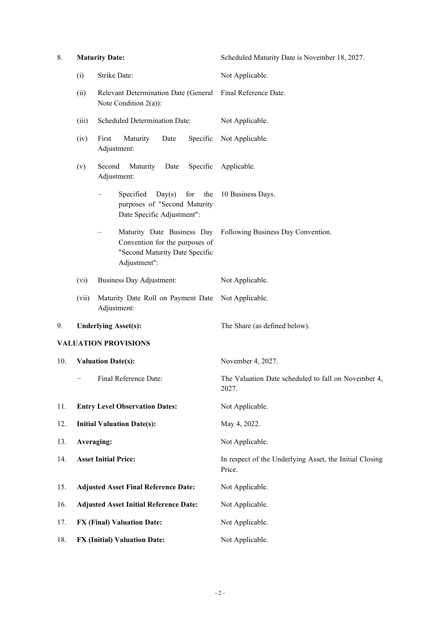| 8.  |                          | <b>Maturity Date:</b>                                                                           | Scheduled Maturity Date is November 18, 2027.                     |
|-----|--------------------------|-------------------------------------------------------------------------------------------------|-------------------------------------------------------------------|
|     | (i)                      | Strike Date:                                                                                    | Not Applicable.                                                   |
|     | (ii)                     | Relevant Determination Date (General Final Reference Date.<br>Note Condition $2(a)$ :           |                                                                   |
|     | (iii)                    | Scheduled Determination Date:                                                                   | Not Applicable.                                                   |
|     | (iv)                     | First<br>Maturity<br>Specific<br>Date<br>Adjustment:                                            | Not Applicable.                                                   |
|     | (v)                      | Second<br>Maturity<br>Date<br>Adjustment:                                                       | Specific Applicable.                                              |
|     |                          | Specified<br>Day(s)<br>for<br>the<br>purposes of "Second Maturity<br>Date Specific Adjustment": | 10 Business Days.                                                 |
|     |                          | Convention for the purposes of<br>"Second Maturity Date Specific<br>Adjustment":                | Maturity Date Business Day Following Business Day Convention.     |
|     | (vi)                     | Business Day Adjustment:                                                                        | Not Applicable.                                                   |
|     | (vii)                    | Maturity Date Roll on Payment Date<br>Adjustment:                                               | Not Applicable.                                                   |
| 9.  |                          | <b>Underlying Asset(s):</b>                                                                     | The Share (as defined below).                                     |
|     |                          | <b>VALUATION PROVISIONS</b>                                                                     |                                                                   |
| 10. |                          | <b>Valuation Date(s):</b>                                                                       | November 4, 2027.                                                 |
|     | $\overline{\phantom{m}}$ | Final Reference Date:                                                                           | The Valuation Date scheduled to fall on November 4,<br>2027.      |
| 11. |                          | <b>Entry Level Observation Dates:</b>                                                           | Not Applicable.                                                   |
| 12. |                          | <b>Initial Valuation Date(s):</b>                                                               | May 4, 2022.                                                      |
| 13. |                          | Averaging:                                                                                      | Not Applicable.                                                   |
| 14. |                          | <b>Asset Initial Price:</b>                                                                     | In respect of the Underlying Asset, the Initial Closing<br>Price. |
| 15. |                          | <b>Adjusted Asset Final Reference Date:</b>                                                     | Not Applicable.                                                   |
| 16. |                          | <b>Adjusted Asset Initial Reference Date:</b>                                                   | Not Applicable.                                                   |
| 17. |                          | <b>FX (Final) Valuation Date:</b>                                                               | Not Applicable.                                                   |
| 18. |                          | <b>FX (Initial) Valuation Date:</b>                                                             | Not Applicable.                                                   |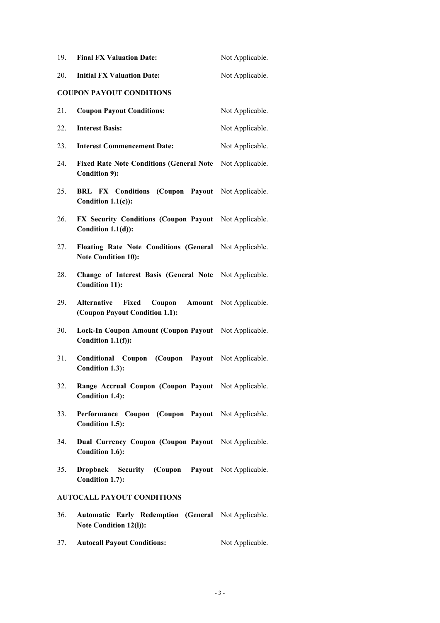| 19. | <b>Final FX Valuation Date:</b>                                                      | Not Applicable. |
|-----|--------------------------------------------------------------------------------------|-----------------|
| 20. | <b>Initial FX Valuation Date:</b>                                                    | Not Applicable. |
|     | <b>COUPON PAYOUT CONDITIONS</b>                                                      |                 |
| 21. | <b>Coupon Payout Conditions:</b>                                                     | Not Applicable. |
| 22. | <b>Interest Basis:</b>                                                               | Not Applicable. |
| 23. | <b>Interest Commencement Date:</b>                                                   | Not Applicable. |
| 24. | <b>Fixed Rate Note Conditions (General Note</b><br><b>Condition 9):</b>              | Not Applicable. |
| 25. | <b>BRL FX Conditions (Coupon Payout</b><br>Condition $1.1(c)$ :                      | Not Applicable. |
| 26. | FX Security Conditions (Coupon Payout Not Applicable.<br>Condition 1.1(d)):          |                 |
| 27. | Floating Rate Note Conditions (General Not Applicable.<br><b>Note Condition 10):</b> |                 |
| 28. | Change of Interest Basis (General Note Not Applicable.<br><b>Condition 11):</b>      |                 |
| 29. | Alternative<br>Fixed<br>Coupon<br>Amount<br>(Coupon Payout Condition 1.1):           | Not Applicable. |
| 30. | Lock-In Coupon Amount (Coupon Payout Not Applicable.<br>Condition 1.1(f)):           |                 |
| 31. | Conditional Coupon (Coupon Payout Not Applicable.<br>Condition 1.3):                 |                 |
| 32. | Range Accrual Coupon (Coupon Payout Not Applicable.<br>Condition 1.4):               |                 |
| 33. | Performance Coupon (Coupon Payout Not Applicable.<br>Condition 1.5):                 |                 |
| 34. | Dual Currency Coupon (Coupon Payout Not Applicable.<br><b>Condition 1.6):</b>        |                 |
| 35. | Dropback Security (Coupon Payout Not Applicable.<br>Condition 1.7):                  |                 |
|     | <b>AUTOCALL PAYOUT CONDITIONS</b>                                                    |                 |
| 36. | Automatic Early Redemption (General Not Applicable.<br>Note Condition 12(l)):        |                 |
| 37. | <b>Autocall Payout Conditions:</b>                                                   | Not Applicable. |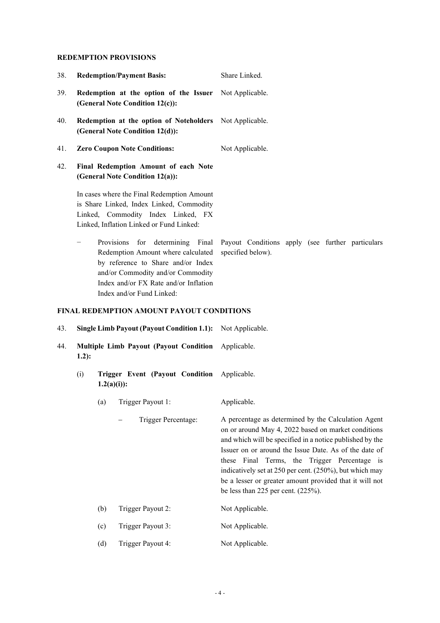## **REDEMPTION PROVISIONS**

|            |         |               |                                                                                                                                                                          | Share Linked.                                                                                                                                                                                                                                                                                                                                                                                                            |
|------------|---------|---------------|--------------------------------------------------------------------------------------------------------------------------------------------------------------------------|--------------------------------------------------------------------------------------------------------------------------------------------------------------------------------------------------------------------------------------------------------------------------------------------------------------------------------------------------------------------------------------------------------------------------|
| 38.        |         |               | <b>Redemption/Payment Basis:</b>                                                                                                                                         |                                                                                                                                                                                                                                                                                                                                                                                                                          |
| 39.        |         |               | Redemption at the option of the Issuer Not Applicable.<br>(General Note Condition 12(c)):                                                                                |                                                                                                                                                                                                                                                                                                                                                                                                                          |
| 40.        |         |               | Redemption at the option of Noteholders Not Applicable.<br>(General Note Condition 12(d)):                                                                               |                                                                                                                                                                                                                                                                                                                                                                                                                          |
| 41.        |         |               | <b>Zero Coupon Note Conditions:</b>                                                                                                                                      | Not Applicable.                                                                                                                                                                                                                                                                                                                                                                                                          |
| 42.        |         |               | Final Redemption Amount of each Note<br>(General Note Condition 12(a)):                                                                                                  |                                                                                                                                                                                                                                                                                                                                                                                                                          |
|            |         |               | In cases where the Final Redemption Amount<br>is Share Linked, Index Linked, Commodity<br>Linked, Commodity Index Linked, FX<br>Linked, Inflation Linked or Fund Linked: |                                                                                                                                                                                                                                                                                                                                                                                                                          |
|            |         | Provisions    | for<br>Redemption Amount where calculated<br>by reference to Share and/or Index<br>and/or Commodity and/or Commodity<br>Index and/or FX Rate and/or Inflation            | determining Final Payout Conditions apply (see further particulars<br>specified below).                                                                                                                                                                                                                                                                                                                                  |
|            |         |               | Index and/or Fund Linked:                                                                                                                                                |                                                                                                                                                                                                                                                                                                                                                                                                                          |
|            |         |               | <b>FINAL REDEMPTION AMOUNT PAYOUT CONDITIONS</b>                                                                                                                         |                                                                                                                                                                                                                                                                                                                                                                                                                          |
|            |         |               | Single Limb Payout (Payout Condition 1.1): Not Applicable.                                                                                                               |                                                                                                                                                                                                                                                                                                                                                                                                                          |
|            | $1.2$ : |               | Multiple Limb Payout (Payout Condition                                                                                                                                   | Applicable.                                                                                                                                                                                                                                                                                                                                                                                                              |
|            | (i)     | $1.2(a)(i)$ : | Trigger Event (Payout Condition Applicable.                                                                                                                              |                                                                                                                                                                                                                                                                                                                                                                                                                          |
|            |         | (a)           | Trigger Payout 1:                                                                                                                                                        | Applicable.                                                                                                                                                                                                                                                                                                                                                                                                              |
|            |         |               | Trigger Percentage:                                                                                                                                                      | be less than 225 per cent. $(225\%)$ .                                                                                                                                                                                                                                                                                                                                                                                   |
|            |         | (b)           | Trigger Payout 2:                                                                                                                                                        | A percentage as determined by the Calculation Agent<br>on or around May 4, 2022 based on market conditions<br>and which will be specified in a notice published by the<br>Issuer on or around the Issue Date. As of the date of<br>these Final Terms, the Trigger Percentage is<br>indicatively set at 250 per cent. (250%), but which may<br>be a lesser or greater amount provided that it will not<br>Not Applicable. |
| 43.<br>44. |         | (c)           | Trigger Payout 3:                                                                                                                                                        | Not Applicable.                                                                                                                                                                                                                                                                                                                                                                                                          |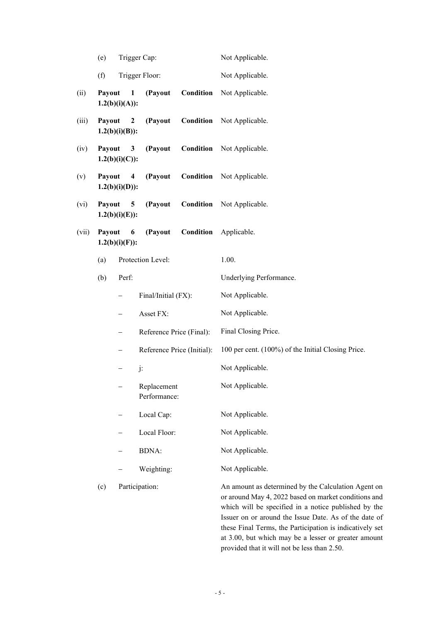|       | (e)                                                            |                                              | Trigger Cap:                |                            | Not Applicable.                                                                                                                                                                                                                                                    |
|-------|----------------------------------------------------------------|----------------------------------------------|-----------------------------|----------------------------|--------------------------------------------------------------------------------------------------------------------------------------------------------------------------------------------------------------------------------------------------------------------|
|       | (f)                                                            |                                              | Trigger Floor:              |                            | Not Applicable.                                                                                                                                                                                                                                                    |
| (ii)  | Payout                                                         | $\mathbf{1}$<br>$1.2(b)(i)(A))$ :            | (Payout                     | Condition                  | Not Applicable.                                                                                                                                                                                                                                                    |
| (iii) | Payout                                                         | $\boldsymbol{2}$<br>$1.2(b)(i)(B))$ :        | (Payout                     | Condition                  | Not Applicable.                                                                                                                                                                                                                                                    |
| (iv)  | Payout                                                         | 3<br>$1.2(b)(i)(C)$ :                        | (Payout                     | Condition                  | Not Applicable.                                                                                                                                                                                                                                                    |
| (v)   | Payout                                                         | $\overline{\mathbf{4}}$<br>$1.2(b)(i)(D))$ : | (Payout                     | Condition                  | Not Applicable.                                                                                                                                                                                                                                                    |
| (vi)  | Payout                                                         | 5<br>$1.2(b)(i)(E))$ :                       | (Payout                     | Condition                  | Not Applicable.                                                                                                                                                                                                                                                    |
| (vii) | (Payout<br><b>Condition</b><br>Payout<br>6<br>$1.2(b)(i)(F)$ : |                                              |                             | Applicable.                |                                                                                                                                                                                                                                                                    |
|       | (a)                                                            |                                              | Protection Level:           |                            | 1.00.                                                                                                                                                                                                                                                              |
|       | (b)                                                            | Perf:                                        |                             |                            | Underlying Performance.                                                                                                                                                                                                                                            |
|       |                                                                |                                              | Final/Initial (FX):         |                            | Not Applicable.                                                                                                                                                                                                                                                    |
|       |                                                                | -                                            | Asset FX:                   |                            | Not Applicable.                                                                                                                                                                                                                                                    |
|       |                                                                | -                                            | Reference Price (Final):    |                            | Final Closing Price.                                                                                                                                                                                                                                               |
|       |                                                                | $\qquad \qquad -$                            |                             | Reference Price (Initial): | 100 per cent. (100%) of the Initial Closing Price.                                                                                                                                                                                                                 |
|       |                                                                |                                              | j:                          |                            | Not Applicable.                                                                                                                                                                                                                                                    |
|       |                                                                |                                              | Replacement<br>Performance: |                            | Not Applicable.                                                                                                                                                                                                                                                    |
|       |                                                                |                                              | Local Cap:                  |                            | Not Applicable.                                                                                                                                                                                                                                                    |
|       |                                                                |                                              | Local Floor:                |                            | Not Applicable.                                                                                                                                                                                                                                                    |
|       |                                                                |                                              | <b>BDNA:</b>                |                            | Not Applicable.                                                                                                                                                                                                                                                    |
|       |                                                                |                                              | Weighting:                  |                            | Not Applicable.                                                                                                                                                                                                                                                    |
|       | (c)                                                            |                                              | Participation:              |                            | An amount as determined by the Calculation Agent on<br>or around May 4, 2022 based on market conditions and<br>different contribution of a contribution of the contribution of the contribution of the contribution of the co<br><b>Constitution of the output</b> |

or around May 4, 2022 based on market conditions and which will be specified in a notice published by the Issuer on or around the Issue Date. As of the date of these Final Terms, the Participation is indicatively set at 3.00, but which may be a lesser or greater amount provided that it will not be less than 2.50.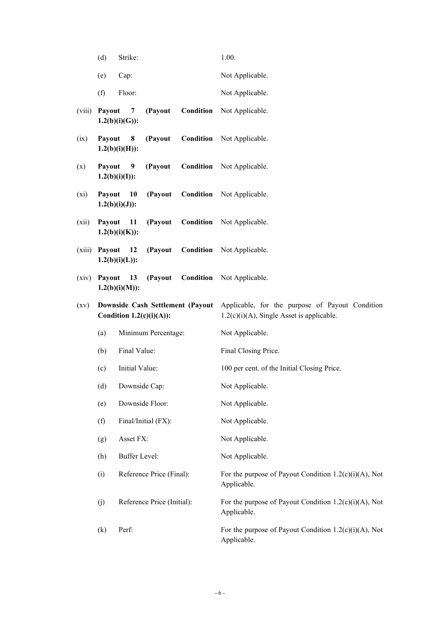|         | (d)                                                             | Strike:                 |                            |                      | 1.00.                                                                                           |
|---------|-----------------------------------------------------------------|-------------------------|----------------------------|----------------------|-------------------------------------------------------------------------------------------------|
|         | (e)                                                             | Cap:                    |                            |                      | Not Applicable.                                                                                 |
|         | (f)                                                             | Floor:                  |                            |                      | Not Applicable.                                                                                 |
| (viii)  | Payout                                                          | 7<br>$1.2(b)(i)(G))$ :  | (Payout                    | Condition            | Not Applicable.                                                                                 |
| (ix)    | Payout                                                          | 8<br>$1.2(b)(i)(H))$ :  | (Payout                    | Condition            | Not Applicable.                                                                                 |
| (x)     | Payout                                                          | 9<br>$1.2(b)(i)(I))$ :  | (Payout                    |                      | <b>Condition</b> Not Applicable.                                                                |
| $(x_i)$ | Payout                                                          | 10<br>$1.2(b)(i)(J))$ : | (Payout                    | Condition            | Not Applicable.                                                                                 |
| (xii)   | Payout                                                          | 11<br>$1.2(b)(i)(K)$ :  | (Payout                    |                      | <b>Condition</b> Not Applicable.                                                                |
| (xiii)  | Payout                                                          | 12<br>$1.2(b)(i)(L))$ : | (Payout                    |                      | <b>Condition</b> Not Applicable.                                                                |
| (xiv)   | Payout                                                          | 13<br>$1.2(b)(i)(M))$ : | (Payout                    | Condition            | Not Applicable.                                                                                 |
| (xv)    | Downside Cash Settlement (Payout<br>Condition $1.2(c)(i)(A))$ : |                         |                            |                      | Applicable, for the purpose of Payout Condition<br>$1.2(c)(i)(A)$ , Single Asset is applicable. |
|         | Minimum Percentage:<br>(a)<br>Final Value:<br>(b)               |                         |                            | Not Applicable.      |                                                                                                 |
|         |                                                                 |                         |                            | Final Closing Price. |                                                                                                 |
|         | (c)                                                             | Initial Value:          |                            |                      | 100 per cent. of the Initial Closing Price.                                                     |
|         | (d)                                                             | Downside Cap:           |                            |                      | Not Applicable.                                                                                 |
|         | (e)                                                             |                         | Downside Floor:            |                      | Not Applicable.                                                                                 |
|         | (f)                                                             |                         | Final/Initial (FX):        |                      | Not Applicable.                                                                                 |
|         | (g)                                                             | Asset FX:               |                            |                      | Not Applicable.                                                                                 |
|         | (h)                                                             | <b>Buffer Level:</b>    |                            |                      | Not Applicable.                                                                                 |
|         | (i)                                                             |                         | Reference Price (Final):   |                      | For the purpose of Payout Condition $1.2(c)(i)(A)$ , Not<br>Applicable.                         |
|         | (j)                                                             |                         | Reference Price (Initial): |                      | For the purpose of Payout Condition $1.2(c)(i)(A)$ , Not<br>Applicable.                         |
|         | (k)                                                             | Perf:                   |                            |                      | For the purpose of Payout Condition $1.2(c)(i)(A)$ , Not<br>Applicable.                         |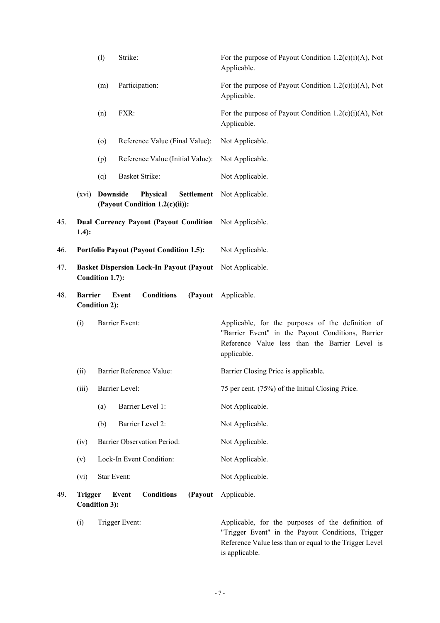|     |                | (1)                  | Strike:                                                         | For the purpose of Payout Condition $1.2(c)(i)(A)$ , Not<br>Applicable.                                                                                                             |
|-----|----------------|----------------------|-----------------------------------------------------------------|-------------------------------------------------------------------------------------------------------------------------------------------------------------------------------------|
|     |                | (m)                  | Participation:                                                  | For the purpose of Payout Condition $1.2(c)(i)(A)$ , Not<br>Applicable.                                                                                                             |
|     |                | (n)                  | FXR:                                                            | For the purpose of Payout Condition $1.2(c)(i)(A)$ , Not<br>Applicable.                                                                                                             |
|     |                | $\circ$              | Reference Value (Final Value):                                  | Not Applicable.                                                                                                                                                                     |
|     |                | (p)                  | Reference Value (Initial Value):                                | Not Applicable.                                                                                                                                                                     |
|     |                | (q)                  | <b>Basket Strike:</b>                                           | Not Applicable.                                                                                                                                                                     |
|     |                | (xvi) Downside       | Physical<br><b>Settlement</b><br>(Payout Condition 1.2(c)(ii)): | Not Applicable.                                                                                                                                                                     |
| 45. | $1.4$ :        |                      | <b>Dual Currency Payout (Payout Condition</b>                   | Not Applicable.                                                                                                                                                                     |
| 46. |                |                      | <b>Portfolio Payout (Payout Condition 1.5):</b>                 | Not Applicable.                                                                                                                                                                     |
| 47. |                | Condition 1.7):      | <b>Basket Dispersion Lock-In Payout (Payout</b>                 | Not Applicable.                                                                                                                                                                     |
| 48. | <b>Barrier</b> | <b>Condition 2):</b> | <b>Conditions</b><br>(Payout<br>Event                           | Applicable.                                                                                                                                                                         |
|     | (i)            |                      | <b>Barrier Event:</b>                                           | Applicable, for the purposes of the definition of<br>"Barrier Event" in the Payout Conditions, Barrier<br>Reference Value less than the Barrier Level is<br>applicable.             |
|     | (ii)           |                      | Barrier Reference Value:                                        | Barrier Closing Price is applicable.                                                                                                                                                |
|     | (iii)          |                      | Barrier Level:                                                  | 75 per cent. (75%) of the Initial Closing Price.                                                                                                                                    |
|     |                | (a)                  | Barrier Level 1:                                                | Not Applicable.                                                                                                                                                                     |
|     |                | (b)                  | Barrier Level 2:                                                | Not Applicable.                                                                                                                                                                     |
|     | (iv)           |                      | <b>Barrier Observation Period:</b>                              | Not Applicable.                                                                                                                                                                     |
|     | (v)            |                      | Lock-In Event Condition:                                        | Not Applicable.                                                                                                                                                                     |
|     | (vi)           | Star Event:          |                                                                 | Not Applicable.                                                                                                                                                                     |
| 49. | <b>Trigger</b> | <b>Condition 3):</b> | <b>Conditions</b><br>(Payout<br>Event                           | Applicable.                                                                                                                                                                         |
|     | (i)            |                      | Trigger Event:                                                  | Applicable, for the purposes of the definition of<br>"Trigger Event" in the Payout Conditions, Trigger<br>Reference Value less than or equal to the Trigger Level<br>is applicable. |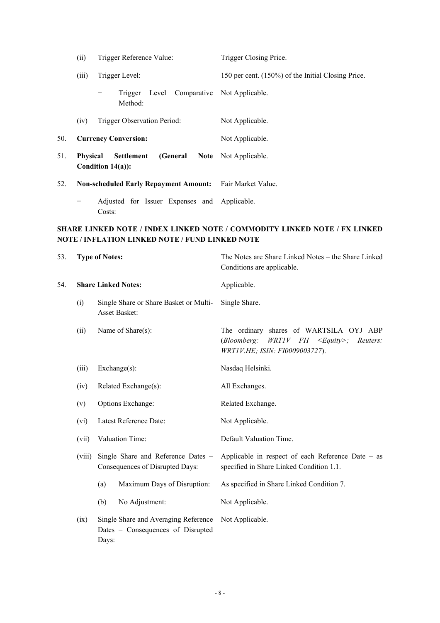|     | (ii)            | Trigger Reference Value:                                           | Trigger Closing Price.                             |  |
|-----|-----------------|--------------------------------------------------------------------|----------------------------------------------------|--|
|     | (iii)           | Trigger Level:                                                     | 150 per cent. (150%) of the Initial Closing Price. |  |
|     |                 | Trigger Level Comparative Not Applicable.<br>Method:               |                                                    |  |
|     | (iv)            | Trigger Observation Period:                                        | Not Applicable.                                    |  |
| 50. |                 | <b>Currency Conversion:</b>                                        | Not Applicable.                                    |  |
| 51. | <b>Physical</b> | (General Note Not Applicable.<br>Settlement<br>Condition $14(a)$ : |                                                    |  |
| 52. |                 | Non-scheduled Early Repayment Amount: Fair Market Value.           |                                                    |  |
|     |                 | Adjusted for Issuer Expenses and Applicable.<br>Costs:             |                                                    |  |

## **SHARE LINKED NOTE / INDEX LINKED NOTE / COMMODITY LINKED NOTE / FX LINKED NOTE / INFLATION LINKED NOTE / FUND LINKED NOTE**

| 53. |                                                            | <b>Type of Notes:</b>                                                 |                                                                           | The Notes are Share Linked Notes - the Share Linked<br>Conditions are applicable.                                               |  |
|-----|------------------------------------------------------------|-----------------------------------------------------------------------|---------------------------------------------------------------------------|---------------------------------------------------------------------------------------------------------------------------------|--|
| 54. |                                                            |                                                                       | <b>Share Linked Notes:</b>                                                | Applicable.                                                                                                                     |  |
|     | (i)                                                        |                                                                       | Single Share or Share Basket or Multi-<br>Asset Basket:                   | Single Share.                                                                                                                   |  |
|     | (ii)                                                       |                                                                       | Name of Share(s):                                                         | The ordinary shares of WARTSILA OYJ ABP<br>(Bloomberg:<br>$WRTIV$ FH $\leq$ Equity>; Reuters:<br>WRT1V.HE; ISIN: FI0009003727). |  |
|     | (iii)                                                      |                                                                       | Exchange(s):                                                              | Nasdaq Helsinki.                                                                                                                |  |
|     | Related Exchange(s):<br>(iv)                               |                                                                       |                                                                           | All Exchanges.                                                                                                                  |  |
|     | Options Exchange:<br>(v)<br>Latest Reference Date:<br>(vi) |                                                                       |                                                                           | Related Exchange.                                                                                                               |  |
|     |                                                            |                                                                       |                                                                           | Not Applicable.                                                                                                                 |  |
|     | (vii)                                                      |                                                                       | Valuation Time:                                                           | Default Valuation Time.                                                                                                         |  |
|     | (viii)                                                     | Single Share and Reference Dates -<br>Consequences of Disrupted Days: |                                                                           | Applicable in respect of each Reference Date - as<br>specified in Share Linked Condition 1.1.                                   |  |
|     |                                                            | (a)                                                                   | Maximum Days of Disruption:                                               | As specified in Share Linked Condition 7.                                                                                       |  |
|     |                                                            | (b)                                                                   | No Adjustment:                                                            | Not Applicable.                                                                                                                 |  |
|     | (ix)                                                       | Days:                                                                 | Single Share and Averaging Reference<br>Dates - Consequences of Disrupted | Not Applicable.                                                                                                                 |  |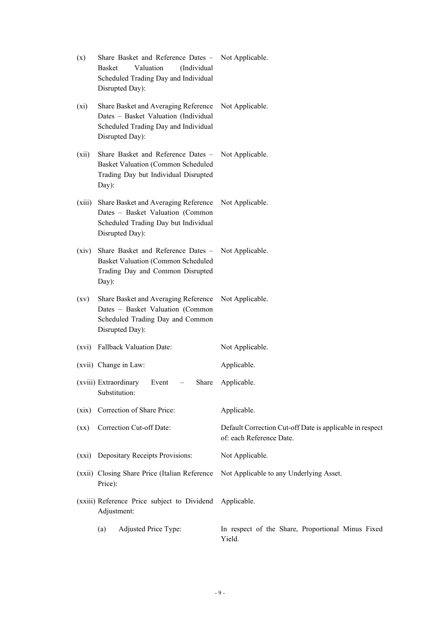| (x)             | Share Basket and Reference Dates - Not Applicable.<br>Valuation<br>(Individual<br>Basket<br>Scheduled Trading Day and Individual<br>Disrupted Day): |                                                                                       |
|-----------------|-----------------------------------------------------------------------------------------------------------------------------------------------------|---------------------------------------------------------------------------------------|
| $(x_i)$         | Share Basket and Averaging Reference<br>Dates - Basket Valuation (Individual<br>Scheduled Trading Day and Individual<br>Disrupted Day):             | Not Applicable.                                                                       |
| (xii)           | Share Basket and Reference Dates -<br>Basket Valuation (Common Scheduled<br>Trading Day but Individual Disrupted<br>Day):                           | Not Applicable.                                                                       |
| (xiii)          | Share Basket and Averaging Reference<br>Dates - Basket Valuation (Common<br>Scheduled Trading Day but Individual<br>Disrupted Day):                 | Not Applicable.                                                                       |
| (xiv)           | Share Basket and Reference Dates -<br><b>Basket Valuation (Common Scheduled</b><br>Trading Day and Common Disrupted<br>Day):                        | Not Applicable.                                                                       |
| (xv)            | Share Basket and Averaging Reference<br>Dates - Basket Valuation (Common<br>Scheduled Trading Day and Common<br>Disrupted Day):                     | Not Applicable.                                                                       |
| (xvi)           | <b>Fallback Valuation Date:</b>                                                                                                                     | Not Applicable.                                                                       |
|                 | (xvii) Change in Law:                                                                                                                               | Applicable.                                                                           |
|                 | (xviii) Extraordinary<br>$-$ Share<br>Event<br>Substitution:                                                                                        | Applicable.                                                                           |
| (xix)           | Correction of Share Price:                                                                                                                          | Applicable.                                                                           |
| $(\mathbf{xx})$ | Correction Cut-off Date:                                                                                                                            | Default Correction Cut-off Date is applicable in respect<br>of: each Reference Date.  |
|                 | (xxi) Depositary Receipts Provisions:                                                                                                               | Not Applicable.                                                                       |
|                 | Price):                                                                                                                                             | (xxii) Closing Share Price (Italian Reference Not Applicable to any Underlying Asset. |
|                 | (xxiii) Reference Price subject to Dividend Applicable.<br>Adjustment:                                                                              |                                                                                       |
|                 | Adjusted Price Type:<br>(a)                                                                                                                         | In respect of the Share, Proportional Minus Fixed<br>Yield.                           |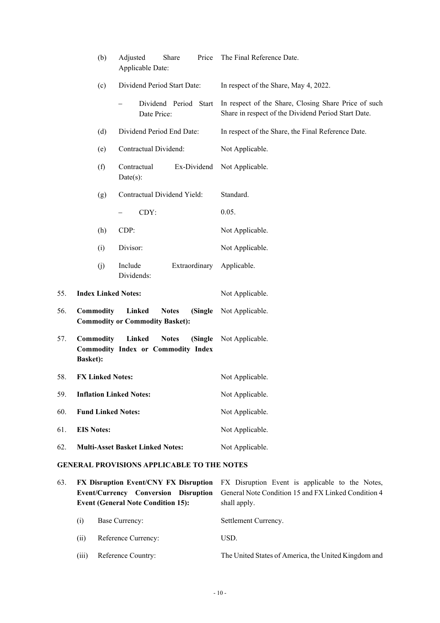|     | (b)                                           | Adjusted<br>Share<br>Price<br>Applicable Date:                                        | The Final Reference Date.                                                                                   |  |  |  |
|-----|-----------------------------------------------|---------------------------------------------------------------------------------------|-------------------------------------------------------------------------------------------------------------|--|--|--|
|     | (c)                                           | Dividend Period Start Date:                                                           | In respect of the Share, May 4, 2022.                                                                       |  |  |  |
|     |                                               | Dividend Period Start<br>Date Price:                                                  | In respect of the Share, Closing Share Price of such<br>Share in respect of the Dividend Period Start Date. |  |  |  |
|     | (d)                                           | Dividend Period End Date:                                                             | In respect of the Share, the Final Reference Date.                                                          |  |  |  |
|     | (e)                                           | Contractual Dividend:                                                                 | Not Applicable.                                                                                             |  |  |  |
|     | (f)                                           | Contractual<br>Ex-Dividend<br>Date(s):                                                | Not Applicable.                                                                                             |  |  |  |
|     | (g)                                           | Contractual Dividend Yield:                                                           | Standard.                                                                                                   |  |  |  |
|     |                                               | CDY:                                                                                  | 0.05.                                                                                                       |  |  |  |
|     | (h)                                           | CDP:                                                                                  | Not Applicable.                                                                                             |  |  |  |
|     | (i)                                           | Divisor:                                                                              | Not Applicable.                                                                                             |  |  |  |
|     | (j)                                           | Include<br>Extraordinary<br>Dividends:                                                | Applicable.                                                                                                 |  |  |  |
| 55. | <b>Index Linked Notes:</b>                    |                                                                                       | Not Applicable.                                                                                             |  |  |  |
| 56. | <b>Commodity</b>                              | Linked<br><b>Notes</b><br>(Single<br><b>Commodity or Commodity Basket):</b>           | Not Applicable.                                                                                             |  |  |  |
| 57. | Commodity<br><b>Basket):</b>                  | <b>Linked</b><br><b>Notes</b><br>(Single<br><b>Commodity Index or Commodity Index</b> | Not Applicable.                                                                                             |  |  |  |
| 58. | <b>FX Linked Notes:</b>                       |                                                                                       | Not Applicable.                                                                                             |  |  |  |
| 59. | <b>Inflation Linked Notes:</b>                |                                                                                       | Not Applicable.                                                                                             |  |  |  |
| 60. | <b>Fund Linked Notes:</b>                     |                                                                                       | Not Applicable.                                                                                             |  |  |  |
| 61. | <b>EIS Notes:</b>                             |                                                                                       | Not Applicable.                                                                                             |  |  |  |
| 62. |                                               | <b>Multi-Asset Basket Linked Notes:</b>                                               | Not Applicable.                                                                                             |  |  |  |
|     | CENED AT DDOVICIONS ADDI ICADI E TO THE NOTES |                                                                                       |                                                                                                             |  |  |  |

# **GENERAL PROVISIONS APPLICABLE TO THE NOTES**

| 63. |       | <b>Event/Currency Conversion Disruption</b><br><b>Event (General Note Condition 15):</b> | <b>FX Disruption Event/CNY FX Disruption</b> FX Disruption Event is applicable to the Notes,<br>General Note Condition 15 and FX Linked Condition 4<br>shall apply. |
|-----|-------|------------------------------------------------------------------------------------------|---------------------------------------------------------------------------------------------------------------------------------------------------------------------|
|     | (1)   | Base Currency:                                                                           | Settlement Currency.                                                                                                                                                |
|     | (i)   | Reference Currency:                                                                      | USD.                                                                                                                                                                |
|     | (iii) | Reference Country:                                                                       | The United States of America, the United Kingdom and                                                                                                                |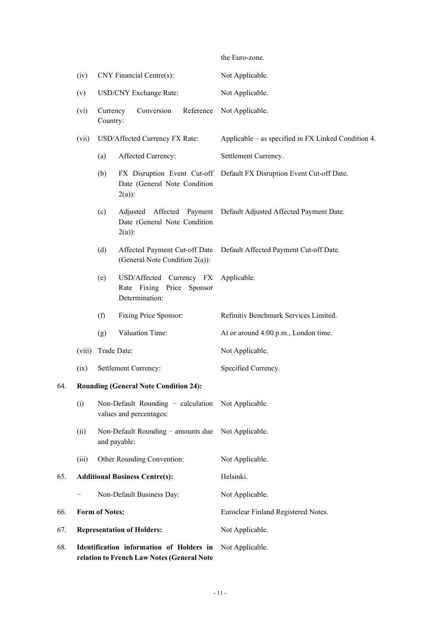the Euro-zone. (iv) CNY Financial Centre(s): Not Applicable. (v) USD/CNY Exchange Rate: Not Applicable. (vi) Currency Conversion Reference Country: Not Applicable. (vii) USD/Affected Currency FX Rate: Applicable – as specified in FX Linked Condition 4. (a) Affected Currency: Settlement Currency. (b) FX Disruption Event Cut-off Date (General Note Condition  $2(a)$ : Default FX Disruption Event Cut-off Date. (c) Adjusted Affected Payment Date (General Note Condition  $2(a)$ : Default Adjusted Affected Payment Date. (d) Affected Payment Cut-off Date (General Note Condition 2(a)): Default Affected Payment Cut-off Date. (e) USD/Affected Currency FX Rate Fixing Price Sponsor Determination: Applicable. (f) Fixing Price Sponsor: Refinitiv Benchmark Services Limited. (g) Valuation Time: At or around 4:00 p.m., London time. (viii) Trade Date: Not Applicable. (ix) Settlement Currency: Specified Currency. 64. **Rounding (General Note Condition 24):**  (i) Non-Default Rounding − calculation Not Applicable. values and percentages: (ii) Non-Default Rounding − amounts due and payable: Not Applicable. (iii) Other Rounding Convention: Not Applicable. 65. **Additional Business Centre(s):** Helsinki. Non-Default Business Day: Not Applicable. 66. **Form of Notes:** Euroclear Finland Registered Notes. 67. **Representation of Holders:** Not Applicable. 68. **Identification information of Holders in**  Not Applicable.

**relation to French Law Notes (General Note**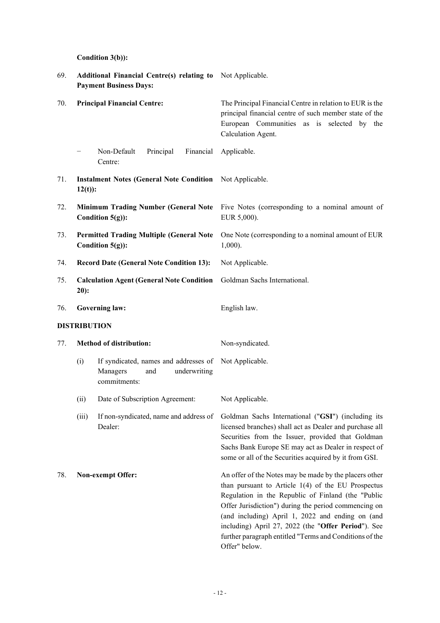**Condition 3(b)):** 

| 69. | Additional Financial Centre(s) relating to Not Applicable.<br><b>Payment Business Days:</b> |                                                                                                          |                                                                                                                                                                                                                                                                                                                                                                                                    |  |  |
|-----|---------------------------------------------------------------------------------------------|----------------------------------------------------------------------------------------------------------|----------------------------------------------------------------------------------------------------------------------------------------------------------------------------------------------------------------------------------------------------------------------------------------------------------------------------------------------------------------------------------------------------|--|--|
| 70. | <b>Principal Financial Centre:</b>                                                          |                                                                                                          | The Principal Financial Centre in relation to EUR is the<br>principal financial centre of such member state of the<br>European Communities as is selected by the<br>Calculation Agent.                                                                                                                                                                                                             |  |  |
|     | $\qquad \qquad -$                                                                           | Non-Default<br>Principal<br>Financial<br>Centre:                                                         | Applicable.                                                                                                                                                                                                                                                                                                                                                                                        |  |  |
| 71. | $12(t)$ :                                                                                   | <b>Instalment Notes (General Note Condition</b> Not Applicable.                                          |                                                                                                                                                                                                                                                                                                                                                                                                    |  |  |
| 72. |                                                                                             | Condition $5(g)$ :                                                                                       | Minimum Trading Number (General Note Five Notes (corresponding to a nominal amount of<br>EUR 5,000).                                                                                                                                                                                                                                                                                               |  |  |
| 73. |                                                                                             | <b>Permitted Trading Multiple (General Note</b><br>Condition $5(g)$ :                                    | One Note (corresponding to a nominal amount of EUR<br>$1,000$ ).                                                                                                                                                                                                                                                                                                                                   |  |  |
| 74. |                                                                                             | <b>Record Date (General Note Condition 13):</b>                                                          | Not Applicable.                                                                                                                                                                                                                                                                                                                                                                                    |  |  |
| 75. | <b>Calculation Agent (General Note Condition</b><br>$20$ :                                  |                                                                                                          | Goldman Sachs International.                                                                                                                                                                                                                                                                                                                                                                       |  |  |
| 76. | <b>Governing law:</b>                                                                       |                                                                                                          | English law.                                                                                                                                                                                                                                                                                                                                                                                       |  |  |
|     | <b>DISTRIBUTION</b>                                                                         |                                                                                                          |                                                                                                                                                                                                                                                                                                                                                                                                    |  |  |
| 77. | Method of distribution:                                                                     |                                                                                                          | Non-syndicated.                                                                                                                                                                                                                                                                                                                                                                                    |  |  |
|     | (i)                                                                                         | If syndicated, names and addresses of Not Applicable.<br>Managers<br>underwriting<br>and<br>commitments: |                                                                                                                                                                                                                                                                                                                                                                                                    |  |  |
|     | (ii)                                                                                        | Date of Subscription Agreement:                                                                          | Not Applicable.                                                                                                                                                                                                                                                                                                                                                                                    |  |  |
|     | (iii)                                                                                       | If non-syndicated, name and address of<br>Dealer:                                                        | Goldman Sachs International ("GSI") (including its<br>licensed branches) shall act as Dealer and purchase all<br>Securities from the Issuer, provided that Goldman<br>Sachs Bank Europe SE may act as Dealer in respect of<br>some or all of the Securities acquired by it from GSI.                                                                                                               |  |  |
| 78. |                                                                                             | <b>Non-exempt Offer:</b>                                                                                 | An offer of the Notes may be made by the placers other<br>than pursuant to Article $1(4)$ of the EU Prospectus<br>Regulation in the Republic of Finland (the "Public<br>Offer Jurisdiction") during the period commencing on<br>(and including) April 1, 2022 and ending on (and<br>including) April 27, 2022 (the "Offer Period"). See<br>further paragraph entitled "Terms and Conditions of the |  |  |

Offer" below.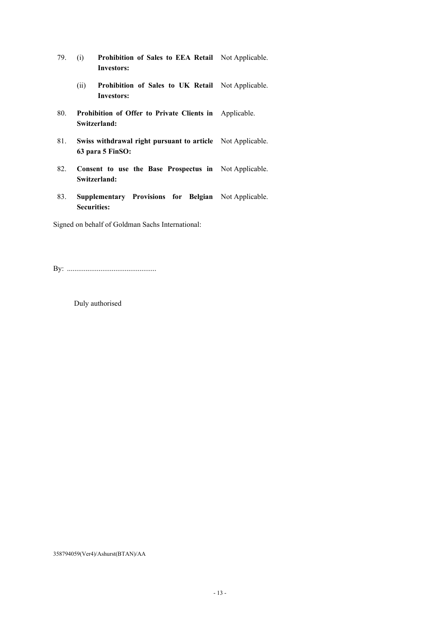- 79. (i) **Prohibition of Sales to EEA Retail**  Not Applicable. **Investors:**
	- (ii) **Prohibition of Sales to UK Retail**  Not Applicable. **Investors:**
- 80. **Prohibition of Offer to Private Clients in**  Applicable. **Switzerland:**
- 81. **Swiss withdrawal right pursuant to article**  Not Applicable. **63 para 5 FinSO:**
- 82. **Consent to use the Base Prospectus in**  Not Applicable. **Switzerland:**
- 83. **Supplementary Provisions for Belgian**  Not Applicable. **Securities:**

Signed on behalf of Goldman Sachs International:

By: ................................................

Duly authorised

358794059(Ver4)/Ashurst(BTAN)/AA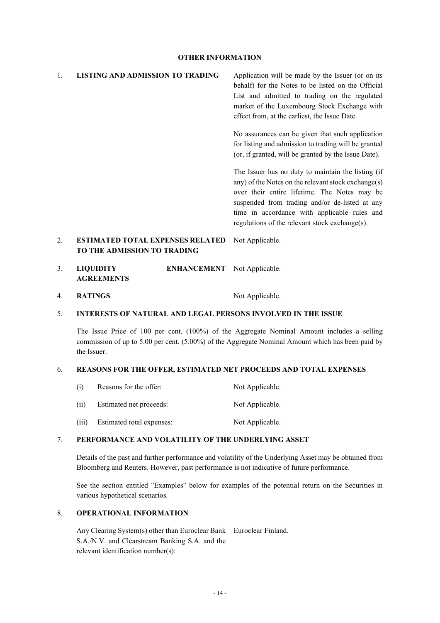## **OTHER INFORMATION**

| $\mathbf{1}$ .   | <b>LISTING AND ADMISSION TO TRADING</b>                                | Application will be made by the Issuer (or on its<br>behalf) for the Notes to be listed on the Official<br>List and admitted to trading on the regulated<br>market of the Luxembourg Stock Exchange with<br>effect from, at the earliest, the Issue Date.                                                     |
|------------------|------------------------------------------------------------------------|---------------------------------------------------------------------------------------------------------------------------------------------------------------------------------------------------------------------------------------------------------------------------------------------------------------|
|                  |                                                                        | No assurances can be given that such application<br>for listing and admission to trading will be granted<br>(or, if granted, will be granted by the Issue Date).                                                                                                                                              |
|                  |                                                                        | The Issuer has no duty to maintain the listing (if<br>any) of the Notes on the relevant stock exchange(s)<br>over their entire lifetime. The Notes may be<br>suspended from trading and/or de-listed at any<br>time in accordance with applicable rules and<br>regulations of the relevant stock exchange(s). |
| $\mathfrak{D}$ . | <b>ESTIMATED TOTAL EXPENSES RELATED</b><br>TO THE ADMISSION TO TRADING | Not Applicable.                                                                                                                                                                                                                                                                                               |

- 3. **LIQUIDITY ENHANCEMENT**  Not Applicable. **AGREEMENTS**
- 4. **RATINGS** Not Applicable.

### 5. **INTERESTS OF NATURAL AND LEGAL PERSONS INVOLVED IN THE ISSUE**

The Issue Price of 100 per cent. (100%) of the Aggregate Nominal Amount includes a selling commission of up to 5.00 per cent. (5.00%) of the Aggregate Nominal Amount which has been paid by the Issuer.

### 6. **REASONS FOR THE OFFER, ESTIMATED NET PROCEEDS AND TOTAL EXPENSES**

| (i)   | Reasons for the offer:    | Not Applicable. |
|-------|---------------------------|-----------------|
| (i)   | Estimated net proceeds:   | Not Applicable. |
| (iii) | Estimated total expenses: | Not Applicable. |

### 7. **PERFORMANCE AND VOLATILITY OF THE UNDERLYING ASSET**

Details of the past and further performance and volatility of the Underlying Asset may be obtained from Bloomberg and Reuters. However, past performance is not indicative of future performance.

See the section entitled "Examples" below for examples of the potential return on the Securities in various hypothetical scenarios.

## 8. **OPERATIONAL INFORMATION**

Any Clearing System(s) other than Euroclear Bank Euroclear Finland. S.A./N.V. and Clearstream Banking S.A. and the relevant identification number(s):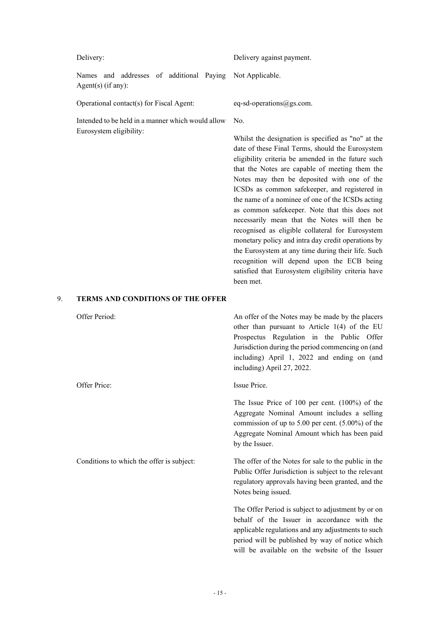Names and addresses of additional Paying Agent(s) (if any):

Operational contact(s) for Fiscal Agent: eq-sd-operations  $@gs.com$ .

Intended to be held in a manner which would allow Eurosystem eligibility:

Delivery: Delivery against payment.

Not Applicable.

No.

Whilst the designation is specified as "no" at the date of these Final Terms, should the Eurosystem eligibility criteria be amended in the future such that the Notes are capable of meeting them the Notes may then be deposited with one of the ICSDs as common safekeeper, and registered in the name of a nominee of one of the ICSDs acting as common safekeeper. Note that this does not necessarily mean that the Notes will then be recognised as eligible collateral for Eurosystem monetary policy and intra day credit operations by the Eurosystem at any time during their life. Such recognition will depend upon the ECB being satisfied that Eurosystem eligibility criteria have been met.

## 9. **TERMS AND CONDITIONS OF THE OFFER**

| Offer Period:                             | An offer of the Notes may be made by the placers<br>other than pursuant to Article 1(4) of the EU<br>Prospectus Regulation in the Public Offer<br>Jurisdiction during the period commencing on (and<br>including) April 1, 2022 and ending on (and<br>including) April 27, 2022. |
|-------------------------------------------|----------------------------------------------------------------------------------------------------------------------------------------------------------------------------------------------------------------------------------------------------------------------------------|
| Offer Price:                              | Issue Price.                                                                                                                                                                                                                                                                     |
|                                           | The Issue Price of 100 per cent. $(100\%)$ of the<br>Aggregate Nominal Amount includes a selling<br>commission of up to 5.00 per cent. $(5.00\%)$ of the<br>Aggregate Nominal Amount which has been paid<br>by the Issuer.                                                       |
| Conditions to which the offer is subject: | The offer of the Notes for sale to the public in the<br>Public Offer Jurisdiction is subject to the relevant<br>regulatory approvals having been granted, and the<br>Notes being issued.                                                                                         |
|                                           | The Offer Period is subject to adjustment by or on<br>behalf of the Issuer in accordance with the<br>applicable regulations and any adjustments to such<br>period will be published by way of notice which<br>will be available on the website of the Issuer                     |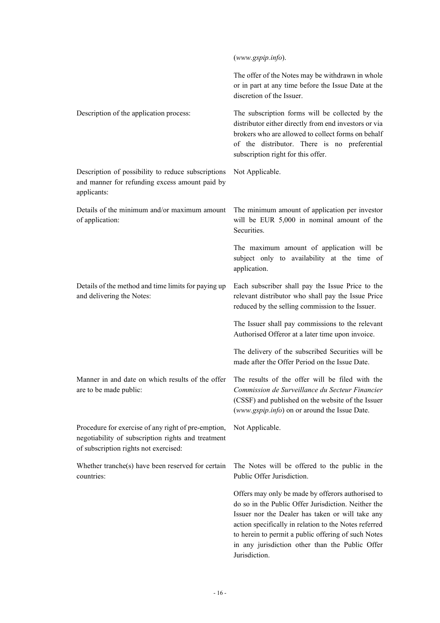|                                                                                                                                                    | (www.gspip.info).                                                                                                                                                                                                                                                                                                                                |
|----------------------------------------------------------------------------------------------------------------------------------------------------|--------------------------------------------------------------------------------------------------------------------------------------------------------------------------------------------------------------------------------------------------------------------------------------------------------------------------------------------------|
|                                                                                                                                                    | The offer of the Notes may be withdrawn in whole<br>or in part at any time before the Issue Date at the<br>discretion of the Issuer.                                                                                                                                                                                                             |
| Description of the application process:                                                                                                            | The subscription forms will be collected by the<br>distributor either directly from end investors or via<br>brokers who are allowed to collect forms on behalf<br>of the distributor. There is no preferential<br>subscription right for this offer.                                                                                             |
| Description of possibility to reduce subscriptions<br>and manner for refunding excess amount paid by<br>applicants:                                | Not Applicable.                                                                                                                                                                                                                                                                                                                                  |
| Details of the minimum and/or maximum amount<br>of application:                                                                                    | The minimum amount of application per investor<br>will be EUR 5,000 in nominal amount of the<br>Securities.                                                                                                                                                                                                                                      |
|                                                                                                                                                    | The maximum amount of application will be<br>subject only to availability at the time of<br>application.                                                                                                                                                                                                                                         |
| Details of the method and time limits for paying up<br>and delivering the Notes:                                                                   | Each subscriber shall pay the Issue Price to the<br>relevant distributor who shall pay the Issue Price<br>reduced by the selling commission to the Issuer.                                                                                                                                                                                       |
|                                                                                                                                                    | The Issuer shall pay commissions to the relevant<br>Authorised Offeror at a later time upon invoice.                                                                                                                                                                                                                                             |
|                                                                                                                                                    | The delivery of the subscribed Securities will be<br>made after the Offer Period on the Issue Date.                                                                                                                                                                                                                                              |
| Manner in and date on which results of the offer<br>are to be made public:                                                                         | The results of the offer will be filed with the<br>Commission de Surveillance du Secteur Financier<br>(CSSF) and published on the website of the Issuer<br>(www.gspip.info) on or around the Issue Date.                                                                                                                                         |
| Procedure for exercise of any right of pre-emption,<br>negotiability of subscription rights and treatment<br>of subscription rights not exercised: | Not Applicable.                                                                                                                                                                                                                                                                                                                                  |
| Whether tranche(s) have been reserved for certain<br>countries:                                                                                    | The Notes will be offered to the public in the<br>Public Offer Jurisdiction.                                                                                                                                                                                                                                                                     |
|                                                                                                                                                    | Offers may only be made by offerors authorised to<br>do so in the Public Offer Jurisdiction. Neither the<br>Issuer nor the Dealer has taken or will take any<br>action specifically in relation to the Notes referred<br>to herein to permit a public offering of such Notes<br>in any jurisdiction other than the Public Offer<br>Jurisdiction. |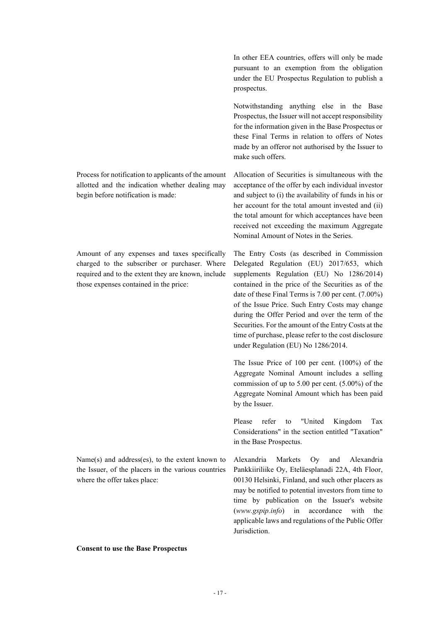Process for notification to applicants of the amount allotted and the indication whether dealing may begin before notification is made:

Amount of any expenses and taxes specifically charged to the subscriber or purchaser. Where required and to the extent they are known, include those expenses contained in the price:

Name(s) and address(es), to the extent known to the Issuer, of the placers in the various countries where the offer takes place:

**Consent to use the Base Prospectus**

In other EEA countries, offers will only be made pursuant to an exemption from the obligation under the EU Prospectus Regulation to publish a prospectus.

Notwithstanding anything else in the Base Prospectus, the Issuer will not accept responsibility for the information given in the Base Prospectus or these Final Terms in relation to offers of Notes made by an offeror not authorised by the Issuer to make such offers.

Allocation of Securities is simultaneous with the acceptance of the offer by each individual investor and subject to (i) the availability of funds in his or her account for the total amount invested and (ii) the total amount for which acceptances have been received not exceeding the maximum Aggregate Nominal Amount of Notes in the Series.

The Entry Costs (as described in Commission Delegated Regulation (EU) 2017/653, which supplements Regulation (EU) No 1286/2014) contained in the price of the Securities as of the date of these Final Terms is 7.00 per cent. (7.00%) of the Issue Price. Such Entry Costs may change during the Offer Period and over the term of the Securities. For the amount of the Entry Costs at the time of purchase, please refer to the cost disclosure under Regulation (EU) No 1286/2014.

The Issue Price of 100 per cent. (100%) of the Aggregate Nominal Amount includes a selling commission of up to 5.00 per cent. (5.00%) of the Aggregate Nominal Amount which has been paid by the Issuer.

Please refer to "United Kingdom Tax Considerations" in the section entitled "Taxation" in the Base Prospectus.

Alexandria Markets Oy and Alexandria Pankkiiriliike Oy, Eteläesplanadi 22A, 4th Floor, 00130 Helsinki, Finland, and such other placers as may be notified to potential investors from time to time by publication on the Issuer's website (*www.gspip.info*) in accordance with the applicable laws and regulations of the Public Offer Jurisdiction.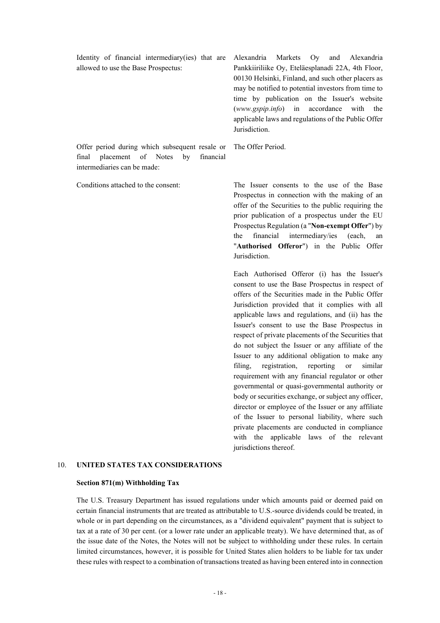| Identity of financial intermediary(ies) that are Alexandria Markets Oy and Alexandria |                                                     |
|---------------------------------------------------------------------------------------|-----------------------------------------------------|
| allowed to use the Base Prospectus:                                                   | Pankkiiriliike Oy, Eteläesplanadi 22A, 4th Floor,   |
|                                                                                       | 00130 Helsinki, Finland, and such other placers as  |
|                                                                                       | may be notified to potential investors from time to |
|                                                                                       | time by publication on the Issuer's website         |
|                                                                                       | (www.gspip.info) in accordance with the             |
|                                                                                       | applicable laws and regulations of the Public Offer |
|                                                                                       | Jurisdiction.                                       |
| Offer period during which subsequent resale or The Offer Period.                      |                                                     |
| final placement of Notes by financial                                                 |                                                     |
| intermediaries can be made:                                                           |                                                     |

Identity of financial intermediary(ies) that are

Conditions attached to the consent: The Issuer consents to the use of the Base Prospectus in connection with the making of an offer of the Securities to the public requiring the prior publication of a prospectus under the EU Prospectus Regulation (a "**Non-exempt Offer**") by the financial intermediary/ies (each, an "**Authorised Offeror**") in the Public Offer Jurisdiction.

> Each Authorised Offeror (i) has the Issuer's consent to use the Base Prospectus in respect of offers of the Securities made in the Public Offer Jurisdiction provided that it complies with all applicable laws and regulations, and (ii) has the Issuer's consent to use the Base Prospectus in respect of private placements of the Securities that do not subject the Issuer or any affiliate of the Issuer to any additional obligation to make any filing, registration, reporting or similar requirement with any financial regulator or other governmental or quasi-governmental authority or body or securities exchange, or subject any officer, director or employee of the Issuer or any affiliate of the Issuer to personal liability, where such private placements are conducted in compliance with the applicable laws of the relevant jurisdictions thereof.

### 10. **UNITED STATES TAX CONSIDERATIONS**

### **Section 871(m) Withholding Tax**

The U.S. Treasury Department has issued regulations under which amounts paid or deemed paid on certain financial instruments that are treated as attributable to U.S.-source dividends could be treated, in whole or in part depending on the circumstances, as a "dividend equivalent" payment that is subject to tax at a rate of 30 per cent. (or a lower rate under an applicable treaty). We have determined that, as of the issue date of the Notes, the Notes will not be subject to withholding under these rules. In certain limited circumstances, however, it is possible for United States alien holders to be liable for tax under these rules with respect to a combination of transactions treated as having been entered into in connection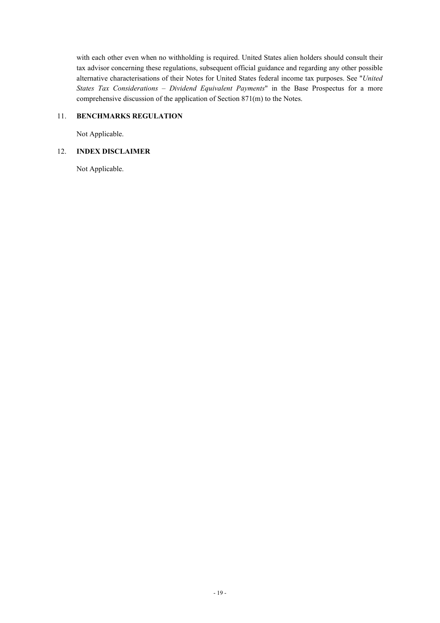with each other even when no withholding is required. United States alien holders should consult their tax advisor concerning these regulations, subsequent official guidance and regarding any other possible alternative characterisations of their Notes for United States federal income tax purposes. See "*United States Tax Considerations – Dividend Equivalent Payments*" in the Base Prospectus for a more comprehensive discussion of the application of Section 871(m) to the Notes.

## 11. **BENCHMARKS REGULATION**

Not Applicable.

# 12. **INDEX DISCLAIMER**

Not Applicable.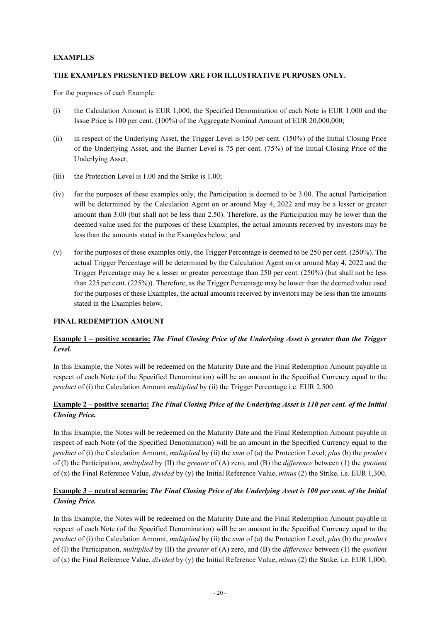## **EXAMPLES**

## **THE EXAMPLES PRESENTED BELOW ARE FOR ILLUSTRATIVE PURPOSES ONLY.**

For the purposes of each Example:

- (i) the Calculation Amount is EUR 1,000, the Specified Denomination of each Note is EUR 1,000 and the Issue Price is 100 per cent. (100%) of the Aggregate Nominal Amount of EUR 20,000,000;
- (ii) in respect of the Underlying Asset, the Trigger Level is 150 per cent. (150%) of the Initial Closing Price of the Underlying Asset, and the Barrier Level is 75 per cent. (75%) of the Initial Closing Price of the Underlying Asset;
- (iii) the Protection Level is 1.00 and the Strike is 1.00;
- (iv) for the purposes of these examples only, the Participation is deemed to be 3.00. The actual Participation will be determined by the Calculation Agent on or around May 4, 2022 and may be a lesser or greater amount than 3.00 (but shall not be less than 2.50). Therefore, as the Participation may be lower than the deemed value used for the purposes of these Examples, the actual amounts received by investors may be less than the amounts stated in the Examples below; and
- (v) for the purposes of these examples only, the Trigger Percentage is deemed to be 250 per cent. (250%). The actual Trigger Percentage will be determined by the Calculation Agent on or around May 4, 2022 and the Trigger Percentage may be a lesser or greater percentage than 250 per cent. (250%) (but shall not be less than 225 per cent. (225%)). Therefore, as the Trigger Percentage may be lower than the deemed value used for the purposes of these Examples, the actual amounts received by investors may be less than the amounts stated in the Examples below.

## **FINAL REDEMPTION AMOUNT**

# **Example 1 – positive scenario:** *The Final Closing Price of the Underlying Asset is greater than the Trigger Level.*

In this Example, the Notes will be redeemed on the Maturity Date and the Final Redemption Amount payable in respect of each Note (of the Specified Denomination) will be an amount in the Specified Currency equal to the *product* of (i) the Calculation Amount *multiplied* by (ii) the Trigger Percentage i.e. EUR 2,500.

## **Example 2 – positive scenario:** *The Final Closing Price of the Underlying Asset is 110 per cent. of the Initial Closing Price.*

In this Example, the Notes will be redeemed on the Maturity Date and the Final Redemption Amount payable in respect of each Note (of the Specified Denomination) will be an amount in the Specified Currency equal to the *product* of (i) the Calculation Amount, *multiplied* by (ii) the *sum* of (a) the Protection Level, *plus* (b) the *product*  of (I) the Participation, *multiplied* by (II) the *greater* of (A) zero, and (B) the *difference* between (1) the *quotient* of (x) the Final Reference Value, *divided* by (y) the Initial Reference Value, *minus* (2) the Strike, i.e. EUR 1,300.

# **Example 3 – neutral scenario:** *The Final Closing Price of the Underlying Asset is 100 per cent. of the Initial Closing Price.*

In this Example, the Notes will be redeemed on the Maturity Date and the Final Redemption Amount payable in respect of each Note (of the Specified Denomination) will be an amount in the Specified Currency equal to the *product* of (i) the Calculation Amount, *multiplied* by (ii) the *sum* of (a) the Protection Level, *plus* (b) the *product*  of (I) the Participation, *multiplied* by (II) the *greater* of (A) zero, and (B) the *difference* between (1) the *quotient* of (x) the Final Reference Value, *divided* by (y) the Initial Reference Value, *minus* (2) the Strike, i.e. EUR 1,000.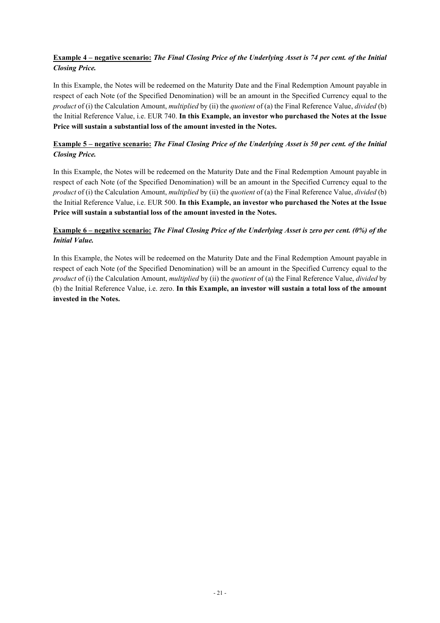# **Example 4 – negative scenario:** *The Final Closing Price of the Underlying Asset is 74 per cent. of the Initial Closing Price.*

In this Example, the Notes will be redeemed on the Maturity Date and the Final Redemption Amount payable in respect of each Note (of the Specified Denomination) will be an amount in the Specified Currency equal to the *product* of (i) the Calculation Amount, *multiplied* by (ii) the *quotient* of (a) the Final Reference Value, *divided* (b) the Initial Reference Value, i.e. EUR 740. **In this Example, an investor who purchased the Notes at the Issue Price will sustain a substantial loss of the amount invested in the Notes.** 

# **Example 5 – negative scenario:** *The Final Closing Price of the Underlying Asset is 50 per cent. of the Initial Closing Price.*

In this Example, the Notes will be redeemed on the Maturity Date and the Final Redemption Amount payable in respect of each Note (of the Specified Denomination) will be an amount in the Specified Currency equal to the *product* of (i) the Calculation Amount, *multiplied* by (ii) the *quotient* of (a) the Final Reference Value, *divided* (b) the Initial Reference Value, i.e. EUR 500. **In this Example, an investor who purchased the Notes at the Issue Price will sustain a substantial loss of the amount invested in the Notes.**

# **Example 6 – negative scenario:** *The Final Closing Price of the Underlying Asset is zero per cent. (0%) of the Initial Value.*

In this Example, the Notes will be redeemed on the Maturity Date and the Final Redemption Amount payable in respect of each Note (of the Specified Denomination) will be an amount in the Specified Currency equal to the *product* of (i) the Calculation Amount, *multiplied* by (ii) the *quotient* of (a) the Final Reference Value, *divided* by (b) the Initial Reference Value, i.e. zero. **In this Example, an investor will sustain a total loss of the amount invested in the Notes.**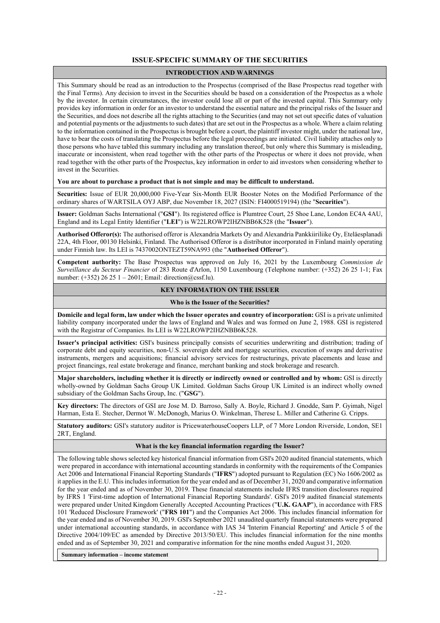### **ISSUE-SPECIFIC SUMMARY OF THE SECURITIES**

### **INTRODUCTION AND WARNINGS**

This Summary should be read as an introduction to the Prospectus (comprised of the Base Prospectus read together with the Final Terms). Any decision to invest in the Securities should be based on a consideration of the Prospectus as a whole by the investor. In certain circumstances, the investor could lose all or part of the invested capital. This Summary only provides key information in order for an investor to understand the essential nature and the principal risks of the Issuer and the Securities, and does not describe all the rights attaching to the Securities (and may not set out specific dates of valuation and potential payments or the adjustments to such dates) that are set out in the Prospectus as a whole. Where a claim relating to the information contained in the Prospectus is brought before a court, the plaintiff investor might, under the national law, have to bear the costs of translating the Prospectus before the legal proceedings are initiated. Civil liability attaches only to those persons who have tabled this summary including any translation thereof, but only where this Summary is misleading, inaccurate or inconsistent, when read together with the other parts of the Prospectus or where it does not provide, when read together with the other parts of the Prospectus, key information in order to aid investors when considering whether to invest in the Securities.

**You are about to purchase a product that is not simple and may be difficult to understand.**

**Securities:** Issue of EUR 20,000,000 Five-Year Six-Month EUR Booster Notes on the Modified Performance of the ordinary shares of WARTSILA OYJ ABP, due November 18, 2027 (ISIN: FI4000519194) (the "**Securities**").

**Issuer:** Goldman Sachs International ("**GSI**"). Its registered office is Plumtree Court, 25 Shoe Lane, London EC4A 4AU, England and its Legal Entity Identifier ("**LEI**") is W22LROWP2IHZNBB6K528 (the "**Issuer**").

**Authorised Offeror(s):** The authorised offeror is Alexandria Markets Oy and Alexandria Pankkiiriliike Oy, Eteläesplanadi 22A, 4th Floor, 00130 Helsinki, Finland. The Authorised Offeror is a distributor incorporated in Finland mainly operating under Finnish law. Its LEI is 7437002ONTEZT59NA993 (the "**Authorised Offeror**").

**Competent authority:** The Base Prospectus was approved on July 16, 2021 by the Luxembourg *Commission de Surveillance du Secteur Financier* of 283 Route d'Arlon, 1150 Luxembourg (Telephone number: (+352) 26 25 1-1; Fax number: (+352) 26 25 1 – 2601; Email: direction@cssf.lu).

#### **KEY INFORMATION ON THE ISSUER**

#### **Who is the Issuer of the Securities?**

**Domicile and legal form, law under which the Issuer operates and country of incorporation:** GSI is a private unlimited liability company incorporated under the laws of England and Wales and was formed on June 2, 1988. GSI is registered with the Registrar of Companies. Its LEI is W22LROWP2IHZNBB6K528.

**Issuer's principal activities:** GSI's business principally consists of securities underwriting and distribution; trading of corporate debt and equity securities, non-U.S. sovereign debt and mortgage securities, execution of swaps and derivative instruments, mergers and acquisitions; financial advisory services for restructurings, private placements and lease and project financings, real estate brokerage and finance, merchant banking and stock brokerage and research.

**Major shareholders, including whether it is directly or indirectly owned or controlled and by whom:** GSI is directly wholly-owned by Goldman Sachs Group UK Limited. Goldman Sachs Group UK Limited is an indirect wholly owned subsidiary of the Goldman Sachs Group, Inc. ("**GSG**").

**Key directors:** The directors of GSI are Jose M. D. Barroso, Sally A. Boyle, Richard J. Gnodde, Sam P. Gyimah, Nigel Harman, Esta E. Stecher, Dermot W. McDonogh, Marius O. Winkelman, Therese L. Miller and Catherine G. Cripps.

**Statutory auditors:** GSI's statutory auditor is PricewaterhouseCoopers LLP, of 7 More London Riverside, London, SE1 2RT, England.

#### **What is the key financial information regarding the Issuer?**

The following table shows selected key historical financial information from GSI's 2020 audited financial statements, which were prepared in accordance with international accounting standards in conformity with the requirements of the Companies Act 2006 and International Financial Reporting Standards ("**IFRS**") adopted pursuant to Regulation (EC) No 1606/2002 as it applies in the E.U. This includes information for the year ended and as of December 31, 2020 and comparative information for the year ended and as of November 30, 2019. These financial statements include IFRS transition disclosures required by IFRS 1 'First-time adoption of International Financial Reporting Standards'. GSI's 2019 audited financial statements were prepared under United Kingdom Generally Accepted Accounting Practices ("**U.K. GAAP**"), in accordance with FRS 101 'Reduced Disclosure Framework' ("**FRS 101**") and the Companies Act 2006. This includes financial information for the year ended and as of November 30, 2019. GSI's September 2021 unaudited quarterly financial statements were prepared under international accounting standards, in accordance with IAS 34 'Interim Financial Reporting' and Article 5 of the Directive 2004/109/EC as amended by Directive 2013/50/EU. This includes financial information for the nine months ended and as of September 30, 2021 and comparative information for the nine months ended August 31, 2020.

**Summary information – income statement**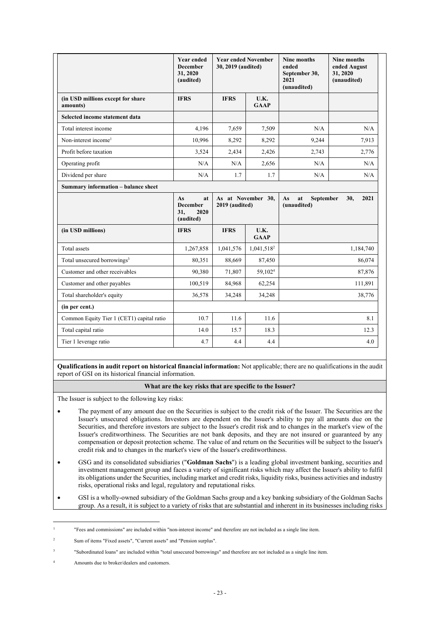|                                               | <b>Year ended</b><br><b>December</b><br>31, 2020<br>(audited) | <b>Year ended November</b><br>30, 2019 (audited) |                        | <b>Nine months</b><br>ended<br>September 30,<br>2021<br>(unaudited) | <b>Nine months</b><br>ended August<br>31, 2020<br>(unaudited) |
|-----------------------------------------------|---------------------------------------------------------------|--------------------------------------------------|------------------------|---------------------------------------------------------------------|---------------------------------------------------------------|
| (in USD millions except for share<br>amounts) | <b>IFRS</b>                                                   | <b>IFRS</b>                                      | U.K.<br><b>GAAP</b>    |                                                                     |                                                               |
| Selected income statement data                |                                                               |                                                  |                        |                                                                     |                                                               |
| Total interest income                         | 4.196                                                         | 7,659                                            | 7,509                  | N/A                                                                 | N/A                                                           |
| Non-interest income <sup>1</sup>              | 10,996                                                        | 8,292                                            | 8,292                  | 9,244                                                               | 7,913                                                         |
| Profit before taxation                        | 3,524                                                         | 2,434                                            | 2,426                  | 2,743                                                               | 2,776                                                         |
| Operating profit                              | N/A                                                           | N/A                                              | 2,656                  | N/A                                                                 | N/A                                                           |
| Dividend per share                            | N/A                                                           | 1.7                                              | 1.7                    | N/A                                                                 | N/A                                                           |
| Summary information - balance sheet           |                                                               |                                                  |                        |                                                                     |                                                               |
|                                               | As<br>at<br><b>December</b><br>31,<br>2020<br>(audited)       | As at November 30,<br>2019 (audited)             |                        | at<br>As<br>September<br>(unaudited)                                | 30,<br>2021                                                   |
| (in USD millions)                             | <b>IFRS</b>                                                   | <b>IFRS</b><br>U.K.<br><b>GAAP</b>               |                        |                                                                     |                                                               |
| Total assets                                  | 1,267,858                                                     | 1,041,576                                        | 1,041,518 <sup>2</sup> |                                                                     | 1,184,740                                                     |
| Total unsecured borrowings <sup>3</sup>       | 80,351                                                        | 88,669                                           | 87,450                 | 86,074                                                              |                                                               |
| Customer and other receivables                | 90,380                                                        | 71,807                                           | 59,102 <sup>4</sup>    |                                                                     | 87,876                                                        |
| Customer and other payables                   | 100,519                                                       | 84,968                                           | 62,254                 |                                                                     | 111,891                                                       |
| Total shareholder's equity                    | 36,578<br>34,248<br>34,248                                    |                                                  |                        | 38,776                                                              |                                                               |
| (in per cent.)                                |                                                               |                                                  |                        |                                                                     |                                                               |
| Common Equity Tier 1 (CET1) capital ratio     | 10.7                                                          | 11.6                                             | 11.6                   |                                                                     | 8.1                                                           |
| Total capital ratio                           |                                                               | 15.7                                             | 18.3                   |                                                                     | 12.3                                                          |
|                                               | 14.0                                                          |                                                  |                        |                                                                     |                                                               |

**Qualifications in audit report on historical financial information:** Not applicable; there are no qualifications in the audit report of GSI on its historical financial information.

### **What are the key risks that are specific to the Issuer?**

The Issuer is subject to the following key risks:

- The payment of any amount due on the Securities is subject to the credit risk of the Issuer. The Securities are the Issuer's unsecured obligations. Investors are dependent on the Issuer's ability to pay all amounts due on the Securities, and therefore investors are subject to the Issuer's credit risk and to changes in the market's view of the Issuer's creditworthiness. The Securities are not bank deposits, and they are not insured or guaranteed by any compensation or deposit protection scheme. The value of and return on the Securities will be subject to the Issuer's credit risk and to changes in the market's view of the Issuer's creditworthiness.
- GSG and its consolidated subsidiaries ("**Goldman Sachs**") is a leading global investment banking, securities and investment management group and faces a variety of significant risks which may affect the Issuer's ability to fulfil its obligations under the Securities, including market and credit risks, liquidity risks, business activities and industry risks, operational risks and legal, regulatory and reputational risks.
- GSI is a wholly-owned subsidiary of the Goldman Sachs group and a key banking subsidiary of the Goldman Sachs group. As a result, it is subject to a variety of risks that are substantial and inherent in its businesses including risks

<sup>1</sup> "Fees and commissions" are included within "non-interest income" and therefore are not included as a single line item.

<sup>2</sup> Sum of items "Fixed assets", "Current assets" and "Pension surplus".

<sup>3</sup> "Subordinated loans" are included within "total unsecured borrowings" and therefore are not included as a single line item.

<sup>4</sup> Amounts due to broker/dealers and customers.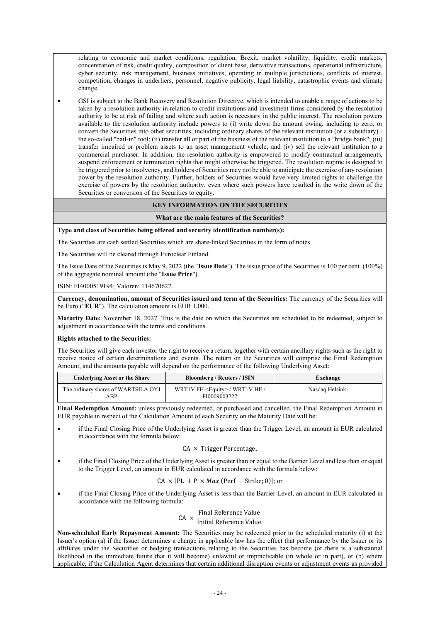relating to economic and market conditions, regulation, Brexit, market volatility, liquidity, credit markets, concentration of risk, credit quality, composition of client base, derivative transactions, operational infrastructure, cyber security, risk management, business initiatives, operating in multiple jurisdictions, conflicts of interest, competition, changes in underliers, personnel, negative publicity, legal liability, catastrophic events and climate change.

 GSI is subject to the Bank Recovery and Resolution Directive, which is intended to enable a range of actions to be taken by a resolution authority in relation to credit institutions and investment firms considered by the resolution authority to be at risk of failing and where such action is necessary in the public interest. The resolution powers available to the resolution authority include powers to (i) write down the amount owing, including to zero, or convert the Securities into other securities, including ordinary shares of the relevant institution (or a subsidiary) the so-called "bail-in" tool; (ii) transfer all or part of the business of the relevant institution to a "bridge bank"; (iii) transfer impaired or problem assets to an asset management vehicle; and (iv) sell the relevant institution to a commercial purchaser. In addition, the resolution authority is empowered to modify contractual arrangements, suspend enforcement or termination rights that might otherwise be triggered. The resolution regime is designed to be triggered prior to insolvency, and holders of Securities may not be able to anticipate the exercise of any resolution power by the resolution authority. Further, holders of Securities would have very limited rights to challenge the exercise of powers by the resolution authority, even where such powers have resulted in the write down of the Securities or conversion of the Securities to equity.

## **KEY INFORMATION ON THE SECURITIES**

### **What are the main features of the Securities?**

**Type and class of Securities being offered and security identification number(s):**

The Securities are cash settled Securities which are share-linked Securities in the form of notes.

The Securities will be cleared through Euroclear Finland.

The Issue Date of the Securities is May 9, 2022 (the "**Issue Date**"). The issue price of the Securities is 100 per cent. (100%) of the aggregate nominal amount (the "**Issue Price**").

ISIN: FI4000519194; Valoren: 114670627.

**Currency, denomination, amount of Securities issued and term of the Securities:** The currency of the Securities will be Euro ("**EUR**"). The calculation amount is EUR 1,000.

**Maturity Date:** November 18, 2027. This is the date on which the Securities are scheduled to be redeemed, subject to adjustment in accordance with the terms and conditions.

### **Rights attached to the Securities:**

The Securities will give each investor the right to receive a return, together with certain ancillary rights such as the right to receive notice of certain determinations and events. The return on the Securities will comprise the Final Redemption Amount, and the amounts payable will depend on the performance of the following Underlying Asset:

| <b>Underlying Asset or the Share</b>       | <b>Bloomberg / Reuters / ISIN</b>                        | Exchange        |
|--------------------------------------------|----------------------------------------------------------|-----------------|
| The ordinary shares of WARTSILA OYJ<br>ABP | WRT1V FH <equity> / WRT1V.HE /<br/>FI0009003727</equity> | Nasdaq Helsinki |

**Final Redemption Amount:** unless previously redeemed, or purchased and cancelled, the Final Redemption Amount in EUR payable in respect of the Calculation Amount of each Security on the Maturity Date will be:

 if the Final Closing Price of the Underlying Asset is greater than the Trigger Level, an amount in EUR calculated in accordance with the formula below:

### $CA \times$  Trigger Percentage;

 if the Final Closing Price of the Underlying Asset is greater than or equal to the Barrier Level and less than or equal to the Trigger Level, an amount in EUR calculated in accordance with the formula below:

$$
CA \times [PL + P \times Max (Perf - Strike; 0)];
$$
or

 if the Final Closing Price of the Underlying Asset is less than the Barrier Level, an amount in EUR calculated in accordance with the following formula:

$$
CA \times \frac{Final Reference Value}{Initial Reference Value}
$$

**Non-scheduled Early Repayment Amount:** The Securities may be redeemed prior to the scheduled maturity (i) at the Issuer's option (a) if the Issuer determines a change in applicable law has the effect that performance by the Issuer or its affiliates under the Securities or hedging transactions relating to the Securities has become (or there is a substantial likelihood in the immediate future that it will become) unlawful or impracticable (in whole or in part), or (b) where applicable, if the Calculation Agent determines that certain additional disruption events or adjustment events as provided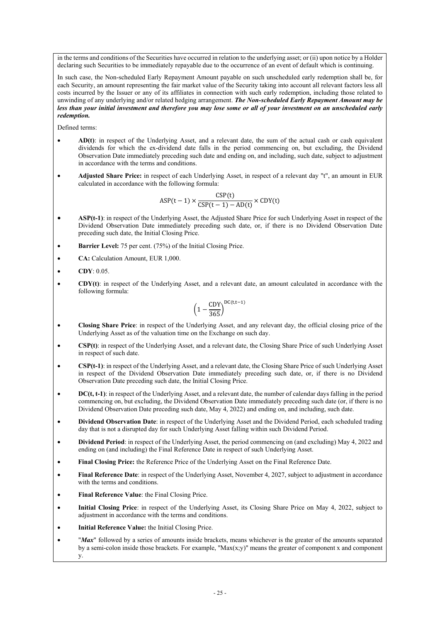in the terms and conditions of the Securities have occurred in relation to the underlying asset; or (ii) upon notice by a Holder declaring such Securities to be immediately repayable due to the occurrence of an event of default which is continuing.

In such case, the Non-scheduled Early Repayment Amount payable on such unscheduled early redemption shall be, for each Security, an amount representing the fair market value of the Security taking into account all relevant factors less all costs incurred by the Issuer or any of its affiliates in connection with such early redemption, including those related to unwinding of any underlying and/or related hedging arrangement. *The Non-scheduled Early Repayment Amount may be less than your initial investment and therefore you may lose some or all of your investment on an unscheduled early redemption.*

Defined terms:

- **AD(t)**: in respect of the Underlying Asset, and a relevant date, the sum of the actual cash or cash equivalent dividends for which the ex-dividend date falls in the period commencing on, but excluding, the Dividend Observation Date immediately preceding such date and ending on, and including, such date, subject to adjustment in accordance with the terms and conditions.
- **Adjusted Share Price:** in respect of each Underlying Asset, in respect of a relevant day "t", an amount in EUR calculated in accordance with the following formula:

$$
ASP(t-1) \times \frac{CSP(t)}{CSP(t-1) - AD(t)} \times CDY(t)
$$

- **ASP(t-1)**: in respect of the Underlying Asset, the Adjusted Share Price for such Underlying Asset in respect of the Dividend Observation Date immediately preceding such date, or, if there is no Dividend Observation Date preceding such date, the Initial Closing Price.
- **Barrier Level:** 75 per cent. (75%) of the Initial Closing Price.
- **CA:** Calculation Amount, EUR 1,000.
- **CDY**: 0.05.
- **CDY(t)**: in respect of the Underlying Asset, and a relevant date, an amount calculated in accordance with the following formula:

$$
\left(1-\frac{CDY}{365}\right)^{DC(t,t-1)}
$$

- **Closing Share Price**: in respect of the Underlying Asset, and any relevant day, the official closing price of the Underlying Asset as of the valuation time on the Exchange on such day.
- **CSP(t)**: in respect of the Underlying Asset, and a relevant date, the Closing Share Price of such Underlying Asset in respect of such date.
- **CSP(t-1)**: in respect of the Underlying Asset, and a relevant date, the Closing Share Price of such Underlying Asset in respect of the Dividend Observation Date immediately preceding such date, or, if there is no Dividend Observation Date preceding such date, the Initial Closing Price.
- **DC(t, t-1)**: in respect of the Underlying Asset, and a relevant date, the number of calendar days falling in the period commencing on, but excluding, the Dividend Observation Date immediately preceding such date (or, if there is no Dividend Observation Date preceding such date, May 4, 2022) and ending on, and including, such date.
- **Dividend Observation Date**: in respect of the Underlying Asset and the Dividend Period, each scheduled trading day that is not a disrupted day for such Underlying Asset falling within such Dividend Period.
- **Dividend Period**: in respect of the Underlying Asset, the period commencing on (and excluding) May 4, 2022 and ending on (and including) the Final Reference Date in respect of such Underlying Asset.
- **Final Closing Price:** the Reference Price of the Underlying Asset on the Final Reference Date.
- **Final Reference Date**: in respect of the Underlying Asset, November 4, 2027, subject to adjustment in accordance with the terms and conditions.
- **Final Reference Value**: the Final Closing Price.
- **Initial Closing Price**: in respect of the Underlying Asset, its Closing Share Price on May 4, 2022, subject to adjustment in accordance with the terms and conditions.
- **Initial Reference Value:** the Initial Closing Price.
- "*Max*" followed by a series of amounts inside brackets, means whichever is the greater of the amounts separated by a semi-colon inside those brackets. For example, " $Max(x,y)$ " means the greater of component x and component y.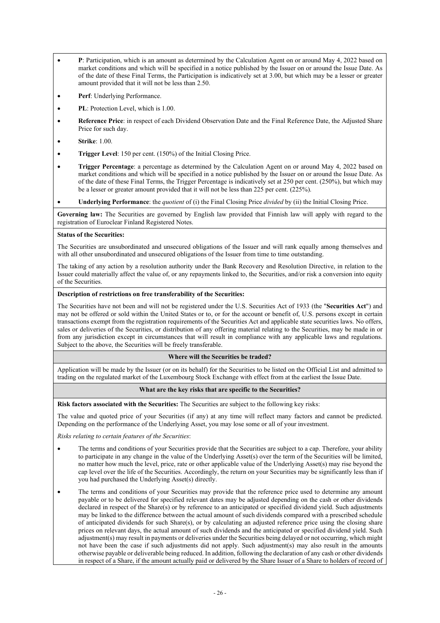- **P**: Participation, which is an amount as determined by the Calculation Agent on or around May 4, 2022 based on market conditions and which will be specified in a notice published by the Issuer on or around the Issue Date. As of the date of these Final Terms, the Participation is indicatively set at 3.00, but which may be a lesser or greater amount provided that it will not be less than 2.50.
- **Perf**: Underlying Performance.
- **PL**: Protection Level, which is 1.00.
- **Reference Price**: in respect of each Dividend Observation Date and the Final Reference Date, the Adjusted Share Price for such day.
- **Strike**: 1.00.
- **Trigger Level**: 150 per cent. (150%) of the Initial Closing Price.
- **Trigger Percentage**: a percentage as determined by the Calculation Agent on or around May 4, 2022 based on market conditions and which will be specified in a notice published by the Issuer on or around the Issue Date. As of the date of these Final Terms, the Trigger Percentage is indicatively set at 250 per cent. (250%), but which may be a lesser or greater amount provided that it will not be less than 225 per cent. (225%).
- **Underlying Performance**: the *quotient* of (i) the Final Closing Price *divided* by (ii) the Initial Closing Price.

**Governing law:** The Securities are governed by English law provided that Finnish law will apply with regard to the registration of Euroclear Finland Registered Notes.

#### **Status of the Securities:**

The Securities are unsubordinated and unsecured obligations of the Issuer and will rank equally among themselves and with all other unsubordinated and unsecured obligations of the Issuer from time to time outstanding.

The taking of any action by a resolution authority under the Bank Recovery and Resolution Directive, in relation to the Issuer could materially affect the value of, or any repayments linked to, the Securities, and/or risk a conversion into equity of the Securities.

#### **Description of restrictions on free transferability of the Securities:**

The Securities have not been and will not be registered under the U.S. Securities Act of 1933 (the "**Securities Act**") and may not be offered or sold within the United States or to, or for the account or benefit of, U.S. persons except in certain transactions exempt from the registration requirements of the Securities Act and applicable state securities laws. No offers, sales or deliveries of the Securities, or distribution of any offering material relating to the Securities, may be made in or from any jurisdiction except in circumstances that will result in compliance with any applicable laws and regulations. Subject to the above, the Securities will be freely transferable.

### **Where will the Securities be traded?**

Application will be made by the Issuer (or on its behalf) for the Securities to be listed on the Official List and admitted to trading on the regulated market of the Luxembourg Stock Exchange with effect from at the earliest the Issue Date.

### **What are the key risks that are specific to the Securities?**

**Risk factors associated with the Securities:** The Securities are subject to the following key risks:

The value and quoted price of your Securities (if any) at any time will reflect many factors and cannot be predicted. Depending on the performance of the Underlying Asset, you may lose some or all of your investment.

*Risks relating to certain features of the Securities*:

- The terms and conditions of your Securities provide that the Securities are subject to a cap. Therefore, your ability to participate in any change in the value of the Underlying Asset(s) over the term of the Securities will be limited, no matter how much the level, price, rate or other applicable value of the Underlying Asset(s) may rise beyond the cap level over the life of the Securities. Accordingly, the return on your Securities may be significantly less than if you had purchased the Underlying Asset(s) directly.
- The terms and conditions of your Securities may provide that the reference price used to determine any amount payable or to be delivered for specified relevant dates may be adjusted depending on the cash or other dividends declared in respect of the Share(s) or by reference to an anticipated or specified dividend yield. Such adjustments may be linked to the difference between the actual amount of such dividends compared with a prescribed schedule of anticipated dividends for such Share(s), or by calculating an adjusted reference price using the closing share prices on relevant days, the actual amount of such dividends and the anticipated or specified dividend yield. Such adjustment(s) may result in payments or deliveries under the Securities being delayed or not occurring, which might not have been the case if such adjustments did not apply. Such adjustment(s) may also result in the amounts otherwise payable or deliverable being reduced. In addition, following the declaration of any cash or other dividends in respect of a Share, if the amount actually paid or delivered by the Share Issuer of a Share to holders of record of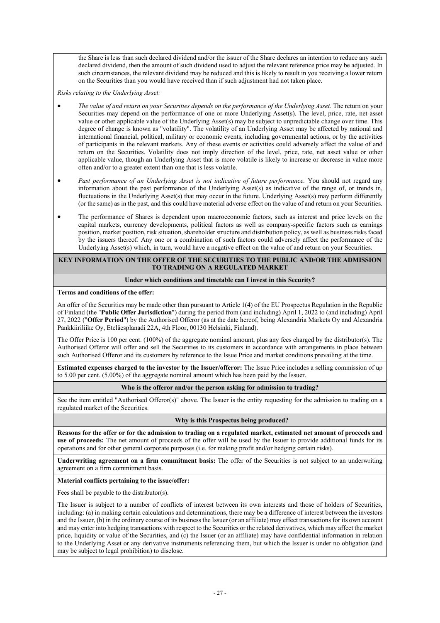the Share is less than such declared dividend and/or the issuer of the Share declares an intention to reduce any such declared dividend, then the amount of such dividend used to adjust the relevant reference price may be adjusted. In such circumstances, the relevant dividend may be reduced and this is likely to result in you receiving a lower return on the Securities than you would have received than if such adjustment had not taken place.

*Risks relating to the Underlying Asset:* 

- *The value of and return on your Securities depends on the performance of the Underlying Asset.* The return on your Securities may depend on the performance of one or more Underlying Asset(s). The level, price, rate, net asset value or other applicable value of the Underlying Asset(s) may be subject to unpredictable change over time. This degree of change is known as "volatility". The volatility of an Underlying Asset may be affected by national and international financial, political, military or economic events, including governmental actions, or by the activities of participants in the relevant markets. Any of these events or activities could adversely affect the value of and return on the Securities. Volatility does not imply direction of the level, price, rate, net asset value or other applicable value, though an Underlying Asset that is more volatile is likely to increase or decrease in value more often and/or to a greater extent than one that is less volatile.
- Past performance of an Underlying Asset is not indicative of future performance. You should not regard any information about the past performance of the Underlying Asset(s) as indicative of the range of, or trends in, fluctuations in the Underlying Asset(s) that may occur in the future. Underlying Asset(s) may perform differently (or the same) as in the past, and this could have material adverse effect on the value of and return on your Securities.
- The performance of Shares is dependent upon macroeconomic factors, such as interest and price levels on the capital markets, currency developments, political factors as well as company-specific factors such as earnings position, market position, risk situation, shareholder structure and distribution policy, as well as business risks faced by the issuers thereof. Any one or a combination of such factors could adversely affect the performance of the Underlying Asset(s) which, in turn, would have a negative effect on the value of and return on your Securities.

### **KEY INFORMATION ON THE OFFER OF THE SECURITIES TO THE PUBLIC AND/OR THE ADMISSION TO TRADING ON A REGULATED MARKET**

### **Under which conditions and timetable can I invest in this Security?**

### **Terms and conditions of the offer:**

An offer of the Securities may be made other than pursuant to Article 1(4) of the EU Prospectus Regulation in the Republic of Finland (the "**Public Offer Jurisdiction**") during the period from (and including) April 1, 2022 to (and including) April 27, 2022 ("**Offer Period**") by the Authorised Offeror (as at the date hereof, being Alexandria Markets Oy and Alexandria Pankkiiriliike Oy, Eteläesplanadi 22A, 4th Floor, 00130 Helsinki, Finland).

The Offer Price is 100 per cent. (100%) of the aggregate nominal amount, plus any fees charged by the distributor(s). The Authorised Offeror will offer and sell the Securities to its customers in accordance with arrangements in place between such Authorised Offeror and its customers by reference to the Issue Price and market conditions prevailing at the time.

**Estimated expenses charged to the investor by the Issuer/offeror:** The Issue Price includes a selling commission of up to 5.00 per cent. (5.00%) of the aggregate nominal amount which has been paid by the Issuer.

### **Who is the offeror and/or the person asking for admission to trading?**

See the item entitled "Authorised Offeror(s)" above. The Issuer is the entity requesting for the admission to trading on a regulated market of the Securities.

### **Why is this Prospectus being produced?**

**Reasons for the offer or for the admission to trading on a regulated market, estimated net amount of proceeds and use of proceeds:** The net amount of proceeds of the offer will be used by the Issuer to provide additional funds for its operations and for other general corporate purposes (i.e. for making profit and/or hedging certain risks).

**Underwriting agreement on a firm commitment basis:** The offer of the Securities is not subject to an underwriting agreement on a firm commitment basis.

### **Material conflicts pertaining to the issue/offer:**

Fees shall be payable to the distributor(s).

The Issuer is subject to a number of conflicts of interest between its own interests and those of holders of Securities, including: (a) in making certain calculations and determinations, there may be a difference of interest between the investors and the Issuer, (b) in the ordinary course of its business the Issuer (or an affiliate) may effect transactions for its own account and may enter into hedging transactions with respect to the Securities or the related derivatives, which may affect the market price, liquidity or value of the Securities, and (c) the Issuer (or an affiliate) may have confidential information in relation to the Underlying Asset or any derivative instruments referencing them, but which the Issuer is under no obligation (and may be subject to legal prohibition) to disclose.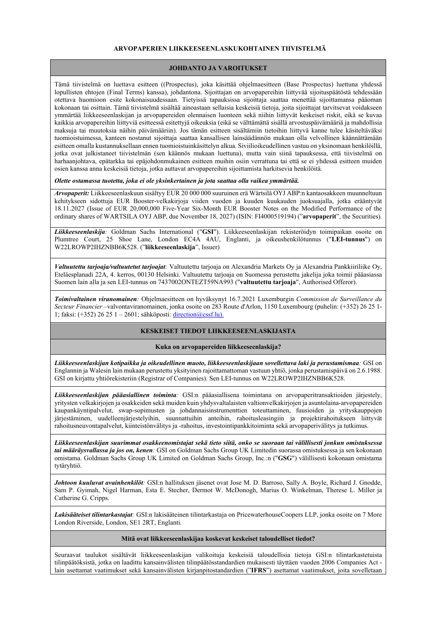### **ARVOPAPERIEN LIIKKEESEENLASKUKOHTAINEN TIIVISTELMÄ**

### **JOHDANTO JA VAROITUKSET**

Tämä tiivistelmä on luettava esitteen ((Prospectus), joka käsittää ohjelmaesitteen (Base Prospectus) luettuna yhdessä lopullisten ehtojen (Final Terms) kanssa), johdantona. Sijoittajan on arvopapereihin liittyvää sijoituspäätöstä tehdessään otettava huomioon esite kokonaisuudessaan. Tietyissä tapauksissa sijoittaja saattaa menettää sijoittamansa pääoman kokonaan tai osittain. Tämä tiivistelmä sisältää ainoastaan sellaisia keskeisiä tietoja, joita sijoittajat tarvitsevat voidakseen ymmärtää liikkeeseenlaskijan ja arvopapereiden olennaisen luonteen sekä niihin liittyvät keskeiset riskit, eikä se kuvaa kaikkia arvopapereihin liittyviä esitteessä esitettyjä oikeuksia (eikä se välttämättä sisällä arvostuspäivämääriä ja mahdollisia maksuja tai muutoksia näihin päivämääriin). Jos tämän esitteen sisältämiin tietoihin liittyvä kanne tulee käsiteltäväksi tuomioistuimessa, kanteen nostanut sijoittaja saattaa kansallisen lainsäädännön mukaan olla velvollinen käännättämään esitteen omalla kustannuksellaan ennen tuomioistuinkäsittelyn alkua. Siviilioikeudellinen vastuu on yksinomaan henkilöillä, jotka ovat julkistaneet tiivistelmän (sen käännös mukaan luettuna), mutta vain siinä tapauksessa, että tiivistelmä on harhaanjohtava, epätarkka tai epäjohdonmukainen esitteen muihin osiin verrattuna tai että se ei yhdessä esitteen muiden osien kanssa anna keskeisiä tietoja, jotka auttavat arvopapereihin sijoittamista harkitsevia henkilöitä.

*Olette ostamassa tuotetta, joka ei ole yksinkertainen ja jota saattaa olla vaikea ymmärtää.*

*Arvopaperit:* Liikkeeseenlaskuun sisältyy EUR 20 000 000 suuruinen erä Wärtsilä OYJ ABP:n kantaosakkeen muunneltuun kehitykseen sidottuja EUR Booster-velkakirjoja viiden vuoden ja kuuden kuukauden juoksuajalla, jotka erääntyvät 18.11.2027 (Issue of EUR 20,000,000 Five-Year Six-Month EUR Booster Notes on the Modified Performance of the ordinary shares of WARTSILA OYJ ABP, due November 18, 2027) (ISIN: FI4000519194) ("**arvopaperit**", the Securities).

*Liikkeeseenlaskija:* Goldman Sachs International ("**GSI**"). Liikkeeseenlaskijan rekisteröidyn toimipaikan osoite on Plumtree Court, 25 Shoe Lane, London EC4A 4AU, Englanti, ja oikeushenkilötunnus ("**LEI-tunnus**") on W22LROWP2IHZNBB6K528. ("**liikkeeseenlaskija**", Issuer)

*Valtuutettu tarjoaja/valtuutetut tarjoajat:* Valtuutettu tarjoaja on Alexandria Markets Oy ja Alexandria Pankkiiriliike Oy, Eteläesplanadi 22A, 4. kerros, 00130 Helsinki. Valtuutettu tarjoaja on Suomessa perustettu jakelija joka toimii pääasiassa Suomen lain alla ja sen LEI-tunnus on 7437002ONTEZT59NA993 ("**valtuutettu tarjoaja**", Authorised Offeror).

*Toimivaltainen viranomainen:* Ohjelmaesitteen on hyväksynyt 16.7.2021 Luxemburgin *Commission de Surveillance du Secteur Financier* –valvontaviranomainen, jonka osoite on 283 Route d'Arlon, 1150 Luxembourg (puhelin: (+352) 26 25 1- 1; faksi: (+352) 26 25 1 – 2601; sähköposti: [direction@cssf.lu\).](mailto:)

## **KESKEISET TIEDOT LIIKKEESEENLASKIJASTA**

### **Kuka on arvopapereiden liikkeeseenlaskija?**

*Liikkeeseenlaskijan kotipaikka ja oikeudellinen muoto, liikkeeseenlaskijaan sovellettava laki ja perustamismaa:* GSI on Englannin ja Walesin lain mukaan perustettu yksityinen rajoittamattoman vastuun yhtiö, jonka perustamispäivä on 2.6.1988. GSI on kirjattu yhtiörekisteriin (Registrar of Companies). Sen LEI-tunnus on W22LROWP2IHZNBB6K528.

*Liikkeeseenlaskijan pääasiallinen toiminta:* GSI:n pääasiallisena toimintana on arvopaperitransaktioiden järjestely, yritysten velkakirjojen ja osakkeiden sekä muiden kuin yhdysvaltalaisten valtionvelkakirjojen ja asuntolaina-arvopapereiden kaupankäyntipalvelut, swap-sopimusten ja johdannaisinstrumenttien toteuttaminen, fuusioiden ja yrityskauppojen järjestäminen, uudelleenjärjestelyihin, suunnattuihin anteihin, rahoitusleasingiin ja projektirahoitukseen liittyvät rahoitusneuvontapalvelut, kiinteistönvälitys ja -rahoitus, investointipankkitoiminta sekä arvopaperivälitys ja tutkimus.

*Liikkeeseenlaskijan suurimmat osakkeenomistajat sekä tieto siitä, onko se suoraan tai välillisesti jonkun omistuksessa tai määräysvallassa ja jos on, kenen:* GSI on Goldman Sachs Group UK Limitedin suorassa omistuksessa ja sen kokonaan omistama. Goldman Sachs Group UK Limited on Goldman Sachs Group, Inc.:n ("**GSG**") välillisesti kokonaan omistama tytäryhtiö.

*Johtoon kuuluvat avainhenkilöt:* GSI:n hallituksen jäsenet ovat Jose M. D. Barroso, Sally A. Boyle, Richard J. Gnodde, Sam P. Gyimah, Nigel Harman, Esta E. Stecher, Dermot W. McDonogh, Marius O. Winkelman, Therese L. Miller ja Catherine G. Cripps.

*Lakisääteiset tilintarkastajat:* GSI:n lakisääteinen tilintarkastaja on PricewaterhouseCoopers LLP, jonka osoite on 7 More London Riverside, London, SE1 2RT, Englanti.

### **Mitä ovat liikkeeseenlaskijaa koskevat keskeiset taloudelliset tiedot?**

Seuraavat taulukot sisältävät liikkeeseenlaskijan valikoituja keskeisiä taloudellisia tietoja GSI:n tilintarkastetuista tilinpäätöksistä, jotka on laadittu kansainvälisten tilinpäätösstandardien mukaisesti täyttäen vuoden 2006 Companies Act lain asettamat vaatimukset sekä kansainvälisten kirjanpitostandardien ("**IFRS**") asettamat vaatimukset, joita sovelletaan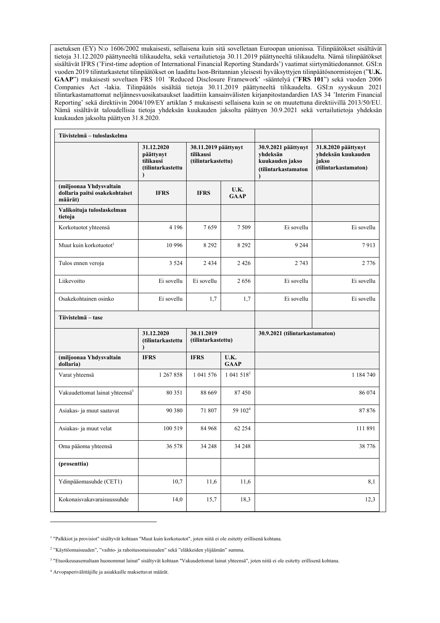asetuksen (EY) N:o 1606/2002 mukaisesti, sellaisena kuin sitä sovelletaan Euroopan unionissa. Tilinpäätökset sisältävät tietoja 31.12.2020 päättyneeltä tilikaudelta, sekä vertailutietoja 30.11.2019 päättyneeltä tilikaudelta. Nämä tilinpäätökset sisältävät IFRS ('First-time adoption of International Financial Reporting Standards') vaatimat siirtymätiedonannot. GSI:n vuoden 2019 tilintarkastetut tilinpäätökset on laadittu Ison-Britannian yleisesti hyväksyttyjen tilinpäätösnormistojen ("**U.K. GAAP**") mukaisesti soveltaen FRS 101 'Reduced Disclosure Framework' -sääntelyä ("**FRS 101**") sekä vuoden 2006 Companies Act -lakia. Tilinpäätös sisältää tietoja 30.11.2019 päättyneeltä tilikaudelta. GSI:n syyskuun 2021 tilintarkastamattomat neljännesvuosikatsaukset laadittiin kansainvälisten kirjanpitostandardien IAS 34 'Interim Financial Reporting' sekä direktiivin 2004/109/EY artiklan 5 mukaisesti sellaisena kuin se on muutettuna direktiivillä 2013/50/EU. Nämä sisältävät taloudellisia tietoja yhdeksän kuukauden jaksolta päättyen 30.9.2021 sekä vertailutietoja yhdeksän kuukauden jaksolta päättyen 31.8.2020.

| Tiivistelmä - tuloslaskelma                                          |                                                                        |                                                         |                        |                                                                                        |                                                                            |
|----------------------------------------------------------------------|------------------------------------------------------------------------|---------------------------------------------------------|------------------------|----------------------------------------------------------------------------------------|----------------------------------------------------------------------------|
|                                                                      | 31.12.2020<br>päättynyt<br>tilikausi<br>(tilintarkastettu<br>$\lambda$ | 30.11.2019 päättynyt<br>tilikausi<br>(tilintarkastettu) |                        | 30.9.2021 päättynyt<br>yhdeksän<br>kuukauden jakso<br>(tilintarkastamaton<br>$\lambda$ | 31.8.2020 päättynyt<br>yhdeksän kuukauden<br>jakso<br>(tilintarkastamaton) |
| (miljoonaa Yhdysvaltain<br>dollaria paitsi osakekohtaiset<br>määrät) | <b>IFRS</b>                                                            | <b>IFRS</b>                                             | U.K.<br><b>GAAP</b>    |                                                                                        |                                                                            |
| Valikoituja tuloslaskelman<br>tietoja                                |                                                                        |                                                         |                        |                                                                                        |                                                                            |
| Korkotuotot yhteensä                                                 | 4 1 9 6                                                                | 7659                                                    | 7 5 0 9                | Ei sovellu                                                                             | Ei sovellu                                                                 |
| Muut kuin korkotuotot <sup>1</sup>                                   | 10 996                                                                 | 8 2 9 2                                                 | 8 2 9 2                | 9 2 4 4                                                                                | 7913                                                                       |
| Tulos ennen veroja                                                   | 3 5 2 4                                                                | 2434                                                    | 2 4 2 6                | 2 7 4 3                                                                                | 2 7 7 6                                                                    |
| Liikevoitto                                                          | Ei sovellu                                                             | Ei sovellu                                              | 2656                   | Ei sovellu                                                                             | Ei sovellu                                                                 |
| Osakekohtainen osinko                                                | Ei sovellu                                                             | 1,7                                                     | 1,7                    | Ei sovellu                                                                             | Ei sovellu                                                                 |
| Tiivistelmä - tase                                                   |                                                                        |                                                         |                        |                                                                                        |                                                                            |
|                                                                      | 31.12.2020<br>(tilintarkastettu<br>$\lambda$                           | 30.11.2019<br>(tilintarkastettu)                        |                        | 30.9.2021 (tilintarkastamaton)                                                         |                                                                            |
| (miljoonaa Yhdysvaltain<br>dollaria)                                 | <b>IFRS</b>                                                            | <b>IFRS</b>                                             | U.K.<br><b>GAAP</b>    |                                                                                        |                                                                            |
| Varat yhteensä                                                       | 1 267 858                                                              | 1 041 576                                               | 1 041 518 <sup>2</sup> |                                                                                        | 1 184 740                                                                  |
| Vakuudettomat lainat yhteensä <sup>3</sup>                           | 80 351                                                                 | 88 669                                                  | 87450                  |                                                                                        | 86 074                                                                     |
| Asiakas- ja muut saatavat                                            | 90 380                                                                 | 71 807                                                  | 59 102 <sup>4</sup>    |                                                                                        | 87876                                                                      |
| Asiakas- ja muut velat                                               | 100 519                                                                | 84 968                                                  | 62 254                 |                                                                                        | 111 891                                                                    |
| Oma pääoma yhteensä                                                  | 36 578                                                                 | 34 248                                                  | 34 248                 |                                                                                        | 38 776                                                                     |
| (prosenttia)                                                         |                                                                        |                                                         |                        |                                                                                        |                                                                            |
| Ydinpääomasuhde (CET1)                                               | 10,7                                                                   | 11,6                                                    | 11,6                   | 8,1                                                                                    |                                                                            |
| Kokonaisvakavaraisuussuhde                                           | 14,0                                                                   | 15,7                                                    | 18,3                   |                                                                                        | 12,3                                                                       |

<sup>1</sup> "Palkkiot ja provisiot" sisältyvät kohtaan "Muut kuin korkotuotot", joten niitä ei ole esitetty erillisenä kohtana.

<sup>2</sup> "Käyttöomaisuuden", "vaihto- ja rahoitusomaisuuden" sekä "eläkkeiden ylijäämän" summa.

<sup>3</sup> "Etuoikeusasemaltaan huonommat lainat" sisältyvät kohtaan "Vakuudettomat lainat yhteensä", joten niitä ei ole esitetty erillisenä kohtana.

<sup>4</sup> Arvopaperivälittäjille ja asiakkaille maksettavat määrät.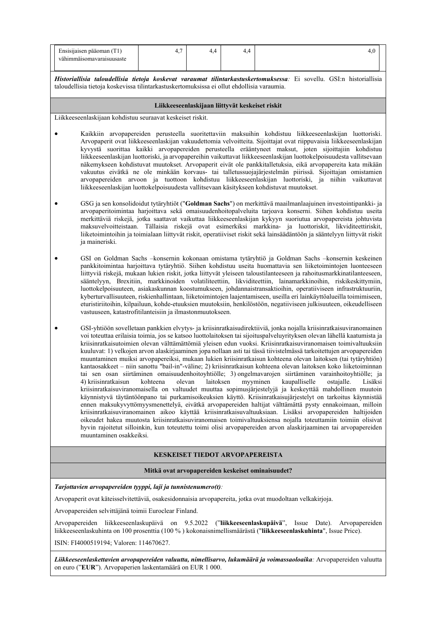| Ensisijaisen pääoman (T1)<br>vähimmäisomavaraisuusaste                                                                                                                                                                                                                                                                                                                                                                                                                                                                                                                                                                                                                                                                                                                                                                                                                                    | 4,7                                               | 4,4                 | 4,4                                             | 4,0                                                                                                                                                                                                                                                                                                                                                                                                                                                                                                                                                                                                                                                                                                                                                                                                                                                                                                                                                                                                                                                                                                                                                                                                                                                                                                                                                                                                                                                                                                                                                                                   |  |  |  |
|-------------------------------------------------------------------------------------------------------------------------------------------------------------------------------------------------------------------------------------------------------------------------------------------------------------------------------------------------------------------------------------------------------------------------------------------------------------------------------------------------------------------------------------------------------------------------------------------------------------------------------------------------------------------------------------------------------------------------------------------------------------------------------------------------------------------------------------------------------------------------------------------|---------------------------------------------------|---------------------|-------------------------------------------------|---------------------------------------------------------------------------------------------------------------------------------------------------------------------------------------------------------------------------------------------------------------------------------------------------------------------------------------------------------------------------------------------------------------------------------------------------------------------------------------------------------------------------------------------------------------------------------------------------------------------------------------------------------------------------------------------------------------------------------------------------------------------------------------------------------------------------------------------------------------------------------------------------------------------------------------------------------------------------------------------------------------------------------------------------------------------------------------------------------------------------------------------------------------------------------------------------------------------------------------------------------------------------------------------------------------------------------------------------------------------------------------------------------------------------------------------------------------------------------------------------------------------------------------------------------------------------------------|--|--|--|
| Historiallisia taloudellisia tietoja koskevat varaumat tilintarkastuskertomuksessa: Ei sovellu. GSI:n historiallisia<br>taloudellisia tietoja koskevissa tilintarkastuskertomuksissa ei ollut ehdollisia varaumia.                                                                                                                                                                                                                                                                                                                                                                                                                                                                                                                                                                                                                                                                        |                                                   |                     |                                                 |                                                                                                                                                                                                                                                                                                                                                                                                                                                                                                                                                                                                                                                                                                                                                                                                                                                                                                                                                                                                                                                                                                                                                                                                                                                                                                                                                                                                                                                                                                                                                                                       |  |  |  |
|                                                                                                                                                                                                                                                                                                                                                                                                                                                                                                                                                                                                                                                                                                                                                                                                                                                                                           |                                                   |                     | Liikkeeseenlaskijaan liittyvät keskeiset riskit |                                                                                                                                                                                                                                                                                                                                                                                                                                                                                                                                                                                                                                                                                                                                                                                                                                                                                                                                                                                                                                                                                                                                                                                                                                                                                                                                                                                                                                                                                                                                                                                       |  |  |  |
| Liikkeeseenlaskijaan kohdistuu seuraavat keskeiset riskit.                                                                                                                                                                                                                                                                                                                                                                                                                                                                                                                                                                                                                                                                                                                                                                                                                                |                                                   |                     |                                                 |                                                                                                                                                                                                                                                                                                                                                                                                                                                                                                                                                                                                                                                                                                                                                                                                                                                                                                                                                                                                                                                                                                                                                                                                                                                                                                                                                                                                                                                                                                                                                                                       |  |  |  |
| Kaikkiin arvopapereiden perusteella suoritettaviin maksuihin kohdistuu liikkeeseenlaskijan luottoriski.<br>Arvopaperit ovat liikkeeseenlaskijan vakuudettomia velvoitteita. Sijoittajat ovat riippuvaisia liikkeeseenlaskijan<br>kyvystä suorittaa kaikki arvopapereiden perusteella erääntyneet maksut, joten sijoittajiin kohdistuu<br>liikkeeseenlaskijan luottoriski, ja arvopapereihin vaikuttavat liikkeeseenlaskijan luottokelpoisuudesta vallitsevaan<br>näkemykseen kohdistuvat muutokset. Arvopaperit eivät ole pankkitalletuksia, eikä arvopapereita kata mikään<br>vakuutus eivätkä ne ole minkään korvaus- tai talletussuojajärjestelmän piirissä. Sijoittajan omistamien<br>arvopapereiden arvoon ja tuottoon kohdistuu liikkeeseenlaskijan luottoriski, ja niihin vaikuttavat<br>liikkeeseenlaskijan luottokelpoisuudesta vallitsevaan käsitykseen kohdistuvat muutokset.  |                                                   |                     |                                                 |                                                                                                                                                                                                                                                                                                                                                                                                                                                                                                                                                                                                                                                                                                                                                                                                                                                                                                                                                                                                                                                                                                                                                                                                                                                                                                                                                                                                                                                                                                                                                                                       |  |  |  |
| ja maineriski.                                                                                                                                                                                                                                                                                                                                                                                                                                                                                                                                                                                                                                                                                                                                                                                                                                                                            |                                                   |                     |                                                 | GSG ja sen konsolidoidut tytäryhtiöt ("Goldman Sachs") on merkittävä maailmanlaajuinen investointipankki- ja<br>arvopaperitoimintaa harjoittava sekä omaisuudenhoitopalveluita tarjoava konserni. Siihen kohdistuu useita<br>merkittäviä riskejä, jotka saattavat vaikuttaa liikkeeseenlaskijan kykyyn suoriutua arvopapereista johtuvista<br>maksuvelvoitteistaan. Tällaisia riskejä ovat esimerkiksi markkina- ja luottoriskit, likviditeettiriskit,<br>liiketoimintoihin ja toimialaan liittyvät riskit, operatiiviset riskit sekä lainsäädäntöön ja sääntelyyn liittyvät riskit                                                                                                                                                                                                                                                                                                                                                                                                                                                                                                                                                                                                                                                                                                                                                                                                                                                                                                                                                                                                   |  |  |  |
| GSI on Goldman Sachs -konsernin kokonaan omistama tytäryhtiö ja Goldman Sachs -konsernin keskeinen<br>pankkitoimintaa harjoittava tytäryhtiö. Siihen kohdistuu useita huomattavia sen liiketoimintojen luonteeseen<br>liittyviä riskejä, mukaan lukien riskit, jotka liittyvät yleiseen taloustilanteeseen ja rahoitusmarkkinatilanteeseen,<br>sääntelyyn, Brexitiin, markkinoiden volatiliteettiin, likviditeettiin, lainamarkkinoihin, riskikeskittymiin,<br>luottokelpoisuuteen, asiakaskunnan koostumukseen, johdannaistransaktioihin, operatiiviseen infrastruktuuriin,<br>kyberturvallisuuteen, riskienhallintaan, liiketoimintojen laajentamiseen, useilla eri lainkäyttöalueilla toimimiseen,<br>eturistiriitoihin, kilpailuun, kohde-etuuksien muutoksiin, henkilöstöön, negatiiviseen julkisuuteen, oikeudelliseen<br>vastuuseen, katastrofitilanteisiin ja ilmastonmuutokseen. |                                                   |                     |                                                 |                                                                                                                                                                                                                                                                                                                                                                                                                                                                                                                                                                                                                                                                                                                                                                                                                                                                                                                                                                                                                                                                                                                                                                                                                                                                                                                                                                                                                                                                                                                                                                                       |  |  |  |
| 4) kriisinratkaisun<br>muuntaminen osakkeiksi.                                                                                                                                                                                                                                                                                                                                                                                                                                                                                                                                                                                                                                                                                                                                                                                                                                            | kohteena                                          | laitoksen<br>olevan |                                                 | GSI-yhtiöön sovelletaan pankkien elvytys- ja kriisinratkaisudirektiiviä, jonka nojalla kriisinratkaisuviranomainen<br>voi toteuttaa erilaisia toimia, jos se katsoo luottolaitoksen tai sijoituspalveluyrityksen olevan lähellä kaatumista ja<br>kriisinratkaisutoimien olevan välttämättömiä yleisen edun vuoksi. Kriisinratkaisuviranomaisen toimivaltuuksiin<br>kuuluvat: 1) velkojen arvon alaskirjaaminen jopa nollaan asti tai tässä tiivistelmässä tarkoitettujen arvopapereiden<br>muuntaminen muiksi arvopapereiksi, mukaan lukien kriisinratkaisun kohteena olevan laitoksen (tai tytäryhtiön)<br>kantaosakkeet - niin sanottu "bail-in"-väline; 2) kriisinratkaisun kohteena olevan laitoksen koko liiketoiminnan<br>tai sen osan siirtäminen omaisuudenhoitoyhtiölle; 3) ongelmavarojen siirtäminen varainhoitoyhtiölle; ja<br>myyminen<br>kaupalliselle<br>ostajalle.<br>Lisäksi<br>kriisinratkaisuviranomaisella on valtuudet muuttaa sopimusjärjestelyjä ja keskeyttää mahdollinen muutoin<br>käynnistyvä täytäntöönpano tai purkamisoikeuksien käyttö. Kriisinratkaisujärjestelyt on tarkoitus käynnistää<br>ennen maksukyvyttömyysmenettelyä, eivätkä arvopapereiden haltijat välttämättä pysty ennakoimaan, milloin<br>kriisinratkaisuviranomainen aikoo käyttää kriisinratkaisuvaltuuksiaan. Lisäksi arvopapereiden haltijoiden<br>oikeudet hakea muutosta kriisinratkaisuviranomaisen toimivaltuuksiensa nojalla toteuttamiin toimiin olisivat<br>hyvin rajoitetut silloinkin, kun toteutettu toimi olisi arvopapereiden arvon alaskirjaaminen tai arvopapereiden |  |  |  |
|                                                                                                                                                                                                                                                                                                                                                                                                                                                                                                                                                                                                                                                                                                                                                                                                                                                                                           |                                                   |                     | KESKEISET TIEDOT ARVOPAPEREISTA                 |                                                                                                                                                                                                                                                                                                                                                                                                                                                                                                                                                                                                                                                                                                                                                                                                                                                                                                                                                                                                                                                                                                                                                                                                                                                                                                                                                                                                                                                                                                                                                                                       |  |  |  |
|                                                                                                                                                                                                                                                                                                                                                                                                                                                                                                                                                                                                                                                                                                                                                                                                                                                                                           | Mitkä ovat arvopapereiden keskeiset ominaisuudet? |                     |                                                 |                                                                                                                                                                                                                                                                                                                                                                                                                                                                                                                                                                                                                                                                                                                                                                                                                                                                                                                                                                                                                                                                                                                                                                                                                                                                                                                                                                                                                                                                                                                                                                                       |  |  |  |
| Tarjottavien arvopapereiden tyyppi, laji ja tunnistenumero(t):                                                                                                                                                                                                                                                                                                                                                                                                                                                                                                                                                                                                                                                                                                                                                                                                                            |                                                   |                     |                                                 |                                                                                                                                                                                                                                                                                                                                                                                                                                                                                                                                                                                                                                                                                                                                                                                                                                                                                                                                                                                                                                                                                                                                                                                                                                                                                                                                                                                                                                                                                                                                                                                       |  |  |  |
| Arvopaperit ovat käteisselvitettäviä, osakesidonnaisia arvopapereita, jotka ovat muodoltaan velkakirjoja.                                                                                                                                                                                                                                                                                                                                                                                                                                                                                                                                                                                                                                                                                                                                                                                 |                                                   |                     |                                                 |                                                                                                                                                                                                                                                                                                                                                                                                                                                                                                                                                                                                                                                                                                                                                                                                                                                                                                                                                                                                                                                                                                                                                                                                                                                                                                                                                                                                                                                                                                                                                                                       |  |  |  |
| Arvopapereiden selvittäjänä toimii Euroclear Finland.                                                                                                                                                                                                                                                                                                                                                                                                                                                                                                                                                                                                                                                                                                                                                                                                                                     |                                                   |                     |                                                 |                                                                                                                                                                                                                                                                                                                                                                                                                                                                                                                                                                                                                                                                                                                                                                                                                                                                                                                                                                                                                                                                                                                                                                                                                                                                                                                                                                                                                                                                                                                                                                                       |  |  |  |

Arvopapereiden liikkeeseenlaskupäivä on 9.5.2022 ("**liikkeeseenlaskupäivä**", Issue Date). Arvopapereiden liikkeeseenlaskuhinta on 100 prosenttia (100 % ) kokonaisnimellismäärästä ("**liikkeeseenlaskuhinta**", Issue Price).

ISIN: FI4000519194; Valoren: 114670627.

*Liikkeeseenlaskettavien arvopapereiden valuutta, nimellisarvo, lukumäärä ja voimassaoloaika:* Arvopapereiden valuutta on euro ("**EUR**"). Arvopaperien laskentamäärä on EUR 1 000.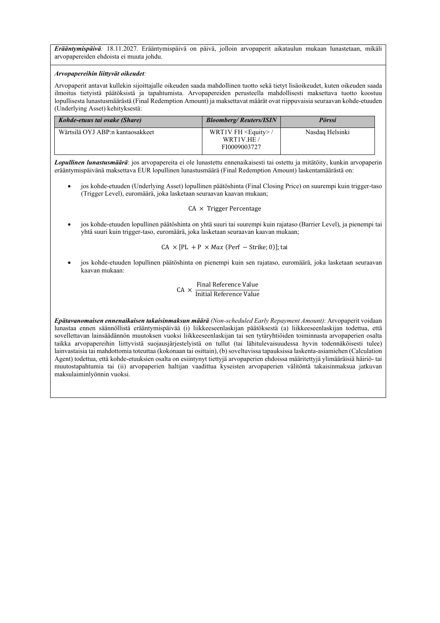*Erääntymispäivä:* 18.11.2027. Erääntymispäivä on päivä, jolloin arvopaperit aikataulun mukaan lunastetaan, mikäli arvopapereiden ehdoista ei muuta johdu.

### *Arvopapereihin liittyvät oikeudet:*

Arvopaperit antavat kullekin sijoittajalle oikeuden saada mahdollinen tuotto sekä tietyt lisäoikeudet, kuten oikeuden saada ilmoitus tietyistä päätöksistä ja tapahtumista. Arvopapereiden perusteella mahdollisesti maksettava tuotto koostuu lopullisesta lunastusmäärästä (Final Redemption Amount) ja maksettavat määrät ovat riippuvaisia seuraavan kohde-etuuden (Underlying Asset) kehityksestä:

| Kohde-etuus tai osake (Share)    | <b>Bloomberg/Reuters/ISIN</b>                             | <b>Pörssi</b>   |
|----------------------------------|-----------------------------------------------------------|-----------------|
| Wärtsilä OYJ ABP:n kantaosakkeet | WRT1V FH $\leq$ Equity $>$ /<br>WRT1V.HE/<br>FI0009003727 | Nasdaq Helsinki |

*Lopullinen lunastusmäärä*: jos arvopapereita ei ole lunastettu ennenaikaisesti tai ostettu ja mitätöity, kunkin arvopaperin erääntymispäivänä maksettava EUR lopullinen lunastusmäärä (Final Redemption Amount) laskentamäärästä on:

 jos kohde-etuuden (Underlying Asset) lopullinen päätöshinta (Final Closing Price) on suurempi kuin trigger-taso (Trigger Level), euromäärä, joka lasketaan seuraavan kaavan mukaan;

### $CA \times$  Trigger Percentage

 jos kohde-etuuden lopullinen päätöshinta on yhtä suuri tai suurempi kuin rajataso (Barrier Level), ja pienempi tai yhtä suuri kuin trigger-taso, euromäärä, joka lasketaan seuraavan kaavan mukaan;

 $CA \times [PL + P \times Max (Perf - Strike; 0)]$ ; tai

 jos kohde-etuuden lopullinen päätöshinta on pienempi kuin sen rajataso, euromäärä, joka lasketaan seuraavan kaavan mukaan:

$$
CA \times \frac{Final Reference Value}{Initial Reference Value}
$$

*Epätavanomaisen ennenaikaisen takaisinmaksun määrä (Non-scheduled Early Repayment Amount)*: Arvopaperit voidaan lunastaa ennen säännöllistä erääntymispäivää (i) liikkeeseenlaskijan päätöksestä (a) liikkeeseenlaskijan todettua, että sovellettavan lainsäädännön muutoksen vuoksi liikkeeseenlaskijan tai sen tytäryhtiöiden toiminnasta arvopaperien osalta taikka arvopapereihin liittyvistä suojausjärjestelyistä on tullut (tai lähitulevaisuudessa hyvin todennäköisesti tulee) lainvastaisia tai mahdottomia toteuttaa (kokonaan tai osittain), (b) soveltuvissa tapauksissa laskenta-asiamiehen (Calculation Agent) todettua, että kohde-etuuksien osalta on esiintynyt tiettyjä arvopaperien ehdoissa määritettyjä ylimääräisiä häiriö- tai muutostapahtumia tai (ii) arvopaperien haltijan vaadittua kyseisten arvopaperien välitöntä takaisinmaksua jatkuvan maksulaiminlyönnin vuoksi.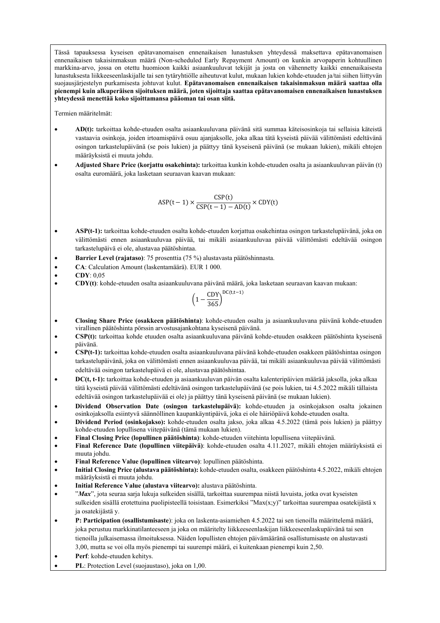Tässä tapauksessa kyseisen epätavanomaisen ennenaikaisen lunastuksen yhteydessä maksettava epätavanomaisen ennenaikaisen takaisinmaksun määrä (Non-scheduled Early Repayment Amount) on kunkin arvopaperin kohtuullinen markkina-arvo, jossa on otettu huomioon kaikki asiaankuuluvat tekijät ja josta on vähennetty kaikki ennenaikaisesta lunastuksesta liikkeeseenlaskijalle tai sen tytäryhtiölle aiheutuvat kulut, mukaan lukien kohde-etuuden ja/tai siihen liittyvän suojausjärjestelyn purkamisesta johtuvat kulut. **Epätavanomaisen ennenaikaisen takaisinmaksun määrä saattaa olla pienempi kuin alkuperäisen sijoituksen määrä, joten sijoittaja saattaa epätavanomaisen ennenaikaisen lunastuksen yhteydessä menettää koko sijoittamansa pääoman tai osan siitä.**

Termien määritelmät:

- **AD(t):** tarkoittaa kohde-etuuden osalta asiaankuuluvana päivänä sitä summaa käteisosinkoja tai sellaisia käteistä vastaavia osinkoja, joiden irtoamispäivä osuu ajanjaksolle, joka alkaa tätä kyseistä päivää välittömästi edeltävänä osingon tarkastelupäivänä (se pois lukien) ja päättyy tänä kyseisenä päivänä (se mukaan lukien), mikäli ehtojen määräyksistä ei muuta johdu.
- **Adjusted Share Price (korjattu osakehinta):** tarkoittaa kunkin kohde-etuuden osalta ja asiaankuuluvan päivän (t) osalta euromäärä, joka lasketaan seuraavan kaavan mukaan:

$$
ASP(t-1) \times \frac{CSP(t)}{CSP(t-1) - AD(t)} \times CDY(t)
$$

- **ASP(t-1):** tarkoittaa kohde-etuuden osalta kohde-etuuden korjattua osakehintaa osingon tarkastelupäivänä, joka on välittömästi ennen asiaankuuluvaa päivää, tai mikäli asiaankuuluvaa päivää välittömästi edeltävää osingon tarkastelupäivä ei ole, alustavaa päätöshintaa.
- **Barrier Level (rajataso)**: 75 prosenttia (75 %) alustavasta päätöshinnasta.
- **CA**: Calculation Amount (laskentamäärä). EUR 1 000.
- **CDY**: 0,05
- **CDY(t)**: kohde-etuuden osalta asiaankuuluvana päivänä määrä, joka lasketaan seuraavan kaavan mukaan:

$$
\left(1-\frac{CDY}{365}\right)^{DC(t,t-1)}
$$

- **Closing Share Price (osakkeen päätöshinta)**: kohde-etuuden osalta ja asiaankuuluvana päivänä kohde-etuuden virallinen päätöshinta pörssin arvostusajankohtana kyseisenä päivänä.
- **CSP(t):** tarkoittaa kohde etuuden osalta asiaankuuluvana päivänä kohde-etuuden osakkeen päätöshinta kyseisenä päivänä.
- **CSP(t-1):** tarkoittaa kohde-etuuden osalta asiaankuuluvana päivänä kohde-etuuden osakkeen päätöshintaa osingon tarkastelupäivänä, joka on välittömästi ennen asiaankuuluvaa päivää, tai mikäli asiaankuuluvaa päivää välittömästi edeltävää osingon tarkastelupäivä ei ole, alustavaa päätöshintaa.
- **DC(t, t-1):** tarkoittaa kohde-etuuden ja asiaankuuluvan päivän osalta kalenteripäivien määrää jaksolla, joka alkaa tätä kyseistä päivää välittömästi edeltävänä osingon tarkastelupäivänä (se pois lukien, tai 4.5.2022 mikäli tällaista edeltävää osingon tarkastelupäivää ei ole) ja päättyy tänä kyseisenä päivänä (se mukaan lukien).
- **Dividend Observation Date (osingon tarkastelupäivä):** kohde-etuuden ja osinkojakson osalta jokainen osinkojaksolla esiintyvä säännöllinen kaupankäyntipäivä, joka ei ole häiriöpäivä kohde-etuuden osalta.
- **Dividend Period (osinkojakso):** kohde-etuuden osalta jakso, joka alkaa 4.5.2022 (tämä pois lukien) ja päättyy kohde-etuuden lopullisena viitepäivänä (tämä mukaan lukien).
- **Final Closing Price (lopullinen päätöshinta)**: kohde-etuuden viitehinta lopullisena viitepäivänä.
- **Final Reference Date (lopullinen viitepäivä)**: kohde-etuuden osalta 4.11.2027, mikäli ehtojen määräyksistä ei muuta johdu.
- **Final Reference Value (lopullinen viitearvo)**: lopullinen päätöshinta.
- **Initial Closing Price (alustava päätöshinta):** kohde-etuuden osalta, osakkeen päätöshinta 4.5.2022, mikäli ehtojen määräyksistä ei muuta johdu.
- **Initial Reference Value (alustava viitearvo):** alustava päätöshinta.
- "*Max*", jota seuraa sarja lukuja sulkeiden sisällä, tarkoittaa suurempaa niistä luvuista, jotka ovat kyseisten sulkeiden sisällä erotettuina puolipisteellä toisistaan. Esimerkiksi "Max(x;y)" tarkoittaa suurempaa osatekijästä x ja osatekijästä y.
- **P: Participation (osallistumisaste**): joka on laskenta-asiamiehen 4.5.2022 tai sen tienoilla määrittelemä määrä, joka perustuu markkinatilanteeseen ja joka on määritelty liikkeeseenlaskijan liikkeeseenlaskupäivänä tai sen tienoilla julkaisemassa ilmoituksessa. Näiden lopullisten ehtojen päivämääränä osallistumisaste on alustavasti 3,00, mutta se voi olla myös pienempi tai suurempi määrä, ei kuitenkaan pienempi kuin 2,50.
- **Perf**: kohde-etuuden kehitys.
- **PL**: Protection Level (suojaustaso), joka on 1,00.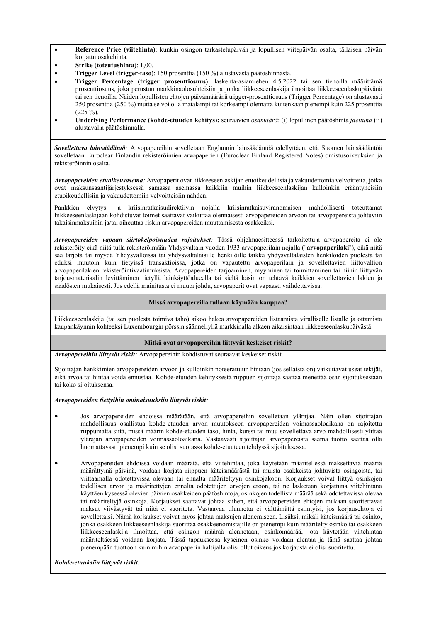- **Reference Price (viitehinta)**: kunkin osingon tarkastelupäivän ja lopullisen viitepäivän osalta, tällaisen päivän korjattu osakehinta.
- **Strike (toteutushinta)**: 1,00.
- **Trigger Level (trigger-taso)**: 150 prosenttia (150 %) alustavasta päätöshinnasta.
- **Trigger Percentage (trigger prosenttiosuus)**: laskenta-asiamiehen 4.5.2022 tai sen tienoilla määrittämä prosenttiosuus, joka perustuu markkinaolosuhteisiin ja jonka liikkeeseenlaskija ilmoittaa liikkeeseenlaskupäivänä tai sen tienoilla. Näiden lopullisten ehtojen päivämääränä trigger-prosenttiosuus (Trigger Percentage) on alustavasti 250 prosenttia (250 %) mutta se voi olla matalampi tai korkeampi olematta kuitenkaan pienempi kuin 225 prosenttia  $(225 \%)$ .
- **Underlying Performance (kohde-etuuden kehitys):** seuraavien *osamäärä*: (i) lopullinen päätöshinta *jaettuna* (ii) alustavalla päätöshinnalla.

*Sovellettava lainsäädäntö:* Arvopapereihin sovelletaan Englannin lainsäädäntöä edellyttäen, että Suomen lainsäädäntöä sovelletaan Euroclear Finlandin rekisteröimien arvopaperien (Euroclear Finland Registered Notes) omistusoikeuksien ja rekisteröinnin osalta.

*Arvopapereiden etuoikeusasema:* Arvopaperit ovat liikkeeseenlaskijan etuoikeudellisia ja vakuudettomia velvoitteita, jotka ovat maksunsaantijärjestyksessä samassa asemassa kaikkiin muihin liikkeeseenlaskijan kulloinkin erääntyneisiin etuoikeudellisiin ja vakuudettomiin velvoitteisiin nähden.

Pankkien elvytys- ja kriisinratkaisudirektiivin nojalla kriisinratkaisuviranomaisen mahdollisesti toteuttamat liikkeeseenlaskijaan kohdistuvat toimet saattavat vaikuttaa olennaisesti arvopapereiden arvoon tai arvopapereista johtuviin takaisinmaksuihin ja/tai aiheuttaa riskin arvopapereiden muuttamisesta osakkeiksi.

*Arvopapereiden vapaan siirtokelpoisuuden rajoitukset:* Tässä ohjelmaesitteessä tarkoitettuja arvopapereita ei ole rekisteröity eikä niitä tulla rekisteröimään Yhdysvaltain vuoden 1933 arvopaperilain nojalla ("**arvopaperilaki**"), eikä niitä saa tarjota tai myydä Yhdysvalloissa tai yhdysvaltalaisille henkilöille taikka yhdysvaltalaisten henkilöiden puolesta tai eduksi muutoin kuin tietyissä transaktioissa, jotka on vapautettu arvopaperilain ja sovellettavien liittovaltion arvopaperilakien rekisteröintivaatimuksista. Arvopapereiden tarjoaminen, myyminen tai toimittaminen tai niihin liittyvän tarjousmateriaalin levittäminen tietyllä lainkäyttöalueella tai sieltä käsin on tehtävä kaikkien sovellettavien lakien ja säädösten mukaisesti. Jos edellä mainitusta ei muuta johdu, arvopaperit ovat vapaasti vaihdettavissa.

## **Missä arvopapereilla tullaan käymään kauppaa?**

Liikkeeseenlaskija (tai sen puolesta toimiva taho) aikoo hakea arvopapereiden listaamista viralliselle listalle ja ottamista kaupankäynnin kohteeksi Luxembourgin pörssin säännellyllä markkinalla alkaen aikaisintaan liikkeeseenlaskupäivästä.

## **Mitkä ovat arvopapereihin liittyvät keskeiset riskit?**

*Arvopapereihin liittyvät riskit:* Arvopapereihin kohdistuvat seuraavat keskeiset riskit.

Sijoittajan hankkimien arvopapereiden arvoon ja kulloinkin noteerattuun hintaan (jos sellaista on) vaikuttavat useat tekijät, eikä arvoa tai hintaa voida ennustaa. Kohde-etuuden kehityksestä riippuen sijoittaja saattaa menettää osan sijoituksestaan tai koko sijoituksensa.

## *Arvopapereiden tiettyihin ominaisuuksiin liittyvät riskit:*

- Jos arvopapereiden ehdoissa määrätään, että arvopapereihin sovelletaan ylärajaa. Näin ollen sijoittajan mahdollisuus osallistua kohde-etuuden arvon muutokseen arvopapereiden voimassaoloaikana on rajoitettu riippumatta siitä, missä määrin kohde-etuuden taso, hinta, kurssi tai muu sovellettava arvo mahdollisesti ylittää ylärajan arvopapereiden voimassaoloaikana. Vastaavasti sijoittajan arvopapereista saama tuotto saattaa olla huomattavasti pienempi kuin se olisi suorassa kohde-etuuteen tehdyssä sijoituksessa.
- Arvopapereiden ehdoissa voidaan määrätä, että viitehintaa, joka käytetään määritellessä maksettavia määriä määrättyinä päivinä, voidaan korjata riippuen käteismäärästä tai muista osakkeista johtuvista osingoista, tai viittaamalla odotettavissa olevaan tai ennalta määriteltyyn osinkojakoon. Korjaukset voivat liittyä osinkojen todellisen arvon ja määritettyjen ennalta odotettujen arvojen eroon, tai ne lasketaan korjattuna viitehintana käyttäen kyseessä olevien päivien osakkeiden päätöshintoja, osinkojen todellista määrää sekä odotettavissa olevaa tai määriteltyjä osinkoja. Korjaukset saattavat johtaa siihen, että arvopapereiden ehtojen mukaan suoritettavat maksut viivästyvät tai niitä ei suoriteta. Vastaavaa tilannetta ei välttämättä esiintyisi, jos korjausehtoja ei sovellettaisi. Nämä korjaukset voivat myös johtaa maksujen alenemiseen. Lisäksi, mikäli käteismäärä tai osinko, jonka osakkeen liikkeeseenlaskija suorittaa osakkeenomistajille on pienempi kuin määritelty osinko tai osakkeen liikkeeseenlaskija ilmoittaa, että osingon määrää alennetaan, osinkomäärää, jota käytetään viitehintaa määriteltäessä voidaan korjata. Tässä tapauksessa kyseinen osinko voidaan alentaa ja tämä saattaa johtaa pienempään tuottoon kuin mihin arvopaperin haltijalla olisi ollut oikeus jos korjausta ei olisi suoritettu.

*Kohde-etuuksiin liittyvät riskit:*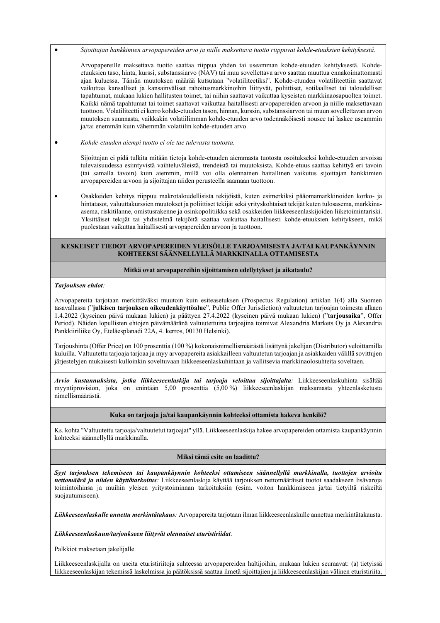*Sijoittajan hankkimien arvopapereiden arvo ja niille maksettava tuotto riippuvat kohde-etuuksien kehityksestä.*

Arvopapereille maksettava tuotto saattaa riippua yhden tai useamman kohde-etuuden kehityksestä. Kohdeetuuksien taso, hinta, kurssi, substanssiarvo (NAV) tai muu sovellettava arvo saattaa muuttua ennakoimattomasti ajan kuluessa. Tämän muutoksen määrää kutsutaan "volatiliteetiksi". Kohde-etuuden volatiliteettiin saattavat vaikuttaa kansalliset ja kansainväliset rahoitusmarkkinoihin liittyvät, poliittiset, sotilaalliset tai taloudelliset tapahtumat, mukaan lukien hallitusten toimet, tai niihin saattavat vaikuttaa kyseisten markkinaosapuolten toimet. Kaikki nämä tapahtumat tai toimet saattavat vaikuttaa haitallisesti arvopapereiden arvoon ja niille maksettavaan tuottoon. Volatiliteetti ei kerro kohde-etuuden tason, hinnan, kurssin, substanssiarvon tai muun sovellettavan arvon muutoksen suunnasta, vaikkakin volatiilimman kohde-etuuden arvo todennäköisesti nousee tai laskee useammin ja/tai enemmän kuin vähemmän volatiilin kohde-etuuden arvo.

*Kohde-etuuden aiempi tuotto ei ole tae tulevasta tuotosta.* 

Sijoittajan ei pidä tulkita mitään tietoja kohde-etuuden aiemmasta tuotosta osoitukseksi kohde-etuuden arvoissa tulevaisuudessa esiintyvistä vaihteluväleistä, trendeistä tai muutoksista. Kohde-etuus saattaa kehittyä eri tavoin (tai samalla tavoin) kuin aiemmin, millä voi olla olennainen haitallinen vaikutus sijoittajan hankkimien arvopapereiden arvoon ja sijoittajan niiden perusteella saamaan tuottoon.

 Osakkeiden kehitys riippuu makrotaloudellisista tekijöistä, kuten esimerkiksi pääomamarkkinoiden korko- ja hintatasot, valuuttakurssien muutokset ja poliittiset tekijät sekä yrityskohtaiset tekijät kuten tulosasema, markkinaasema, riskitilanne, omistusrakenne ja osinkopolitiikka sekä osakkeiden liikkeeseenlaskijoiden liiketoimintariski. Yksittäiset tekijät tai yhdistelmä tekijöitä saattaa vaikuttaa haitallisesti kohde-etuuksien kehitykseen, mikä puolestaan vaikuttaa haitallisesti arvopapereiden arvoon ja tuottoon.

### **KESKEISET TIEDOT ARVOPAPEREIDEN YLEISÖLLE TARJOAMISESTA JA/TAI KAUPANKÄYNNIN KOHTEEKSI SÄÄNNELLYLLÄ MARKKINALLA OTTAMISESTA**

### **Mitkä ovat arvopapereihin sijoittamisen edellytykset ja aikataulu?**

#### *Tarjouksen ehdot:*

Arvopapereita tarjotaan merkittäväksi muutoin kuin esiteasetuksen (Prospectus Regulation) artiklan 1(4) alla Suomen tasavallassa ("**julkisen tarjouksen oikeudenkäyttöalue**", Public Offer Jurisdiction) valtuutetun tarjoajan toimesta alkaen 1.4.2022 (kyseinen päivä mukaan lukien) ja päättyen 27.4.2022 (kyseinen päivä mukaan lukien) ("**tarjousaika**", Offer Period). Näiden lopullisten ehtojen päivämääränä valtuutettuina tarjoajina toimivat Alexandria Markets Oy ja Alexandria Pankkiiriliike Oy, Eteläesplanadi 22A, 4. kerros, 00130 Helsinki).

Tarjoushinta (Offer Price) on 100 prosenttia (100 %) kokonaisnimellismäärästä lisättynä jakelijan (Distributor) veloittamilla kuluilla. Valtuutettu tarjoaja tarjoaa ja myy arvopapereita asiakkailleen valtuutetun tarjoajan ja asiakkaiden välillä sovittujen järjestelyjen mukaisesti kulloinkin soveltuvaan liikkeeseenlaskuhintaan ja vallitsevia markkinaolosuhteita soveltaen.

*Arvio kustannuksista, jotka liikkeeseenlaskija tai tarjoaja veloittaa sijoittajalta:* Liikkeeseenlaskuhinta sisältää myyntiprovision, joka on enintään 5,00 prosenttia (5,00 %) liikkeeseenlaskijan maksamasta yhteenlasketusta nimellismäärästä.

#### **Kuka on tarjoaja ja/tai kaupankäynnin kohteeksi ottamista hakeva henkilö?**

Ks. kohta "Valtuutettu tarjoaja/valtuutetut tarjoajat" yllä. Liikkeeseenlaskija hakee arvopapereiden ottamista kaupankäynnin kohteeksi säännellyllä markkinalla.

### **Miksi tämä esite on laadittu?**

*Syyt tarjouksen tekemiseen tai kaupankäynnin kohteeksi ottamiseen säännellyllä markkinalla, tuottojen arvioitu nettomäärä ja niiden käyttötarkoitus:* Liikkeeseenlaskija käyttää tarjouksen nettomääräiset tuotot saadakseen lisävaroja toimintoihinsa ja muihin yleisen yritystoiminnan tarkoituksiin (esim. voiton hankkimiseen ja/tai tietyiltä riskeiltä suojautumiseen).

*Liikkeeseenlaskulle annettu merkintätakaus:* Arvopapereita tarjotaan ilman liikkeeseenlaskulle annettua merkintätakausta.

*Liikkeeseenlaskuun/tarjoukseen liittyvät olennaiset eturistiriidat:* 

Palkkiot maksetaan jakelijalle.

Liikkeeseenlaskijalla on useita eturistiriitoja suhteessa arvopapereiden haltijoihin, mukaan lukien seuraavat: (a) tietyissä liikkeeseenlaskijan tekemissä laskelmissa ja päätöksissä saattaa ilmetä sijoittajien ja liikkeeseenlaskijan välinen eturistiriita,